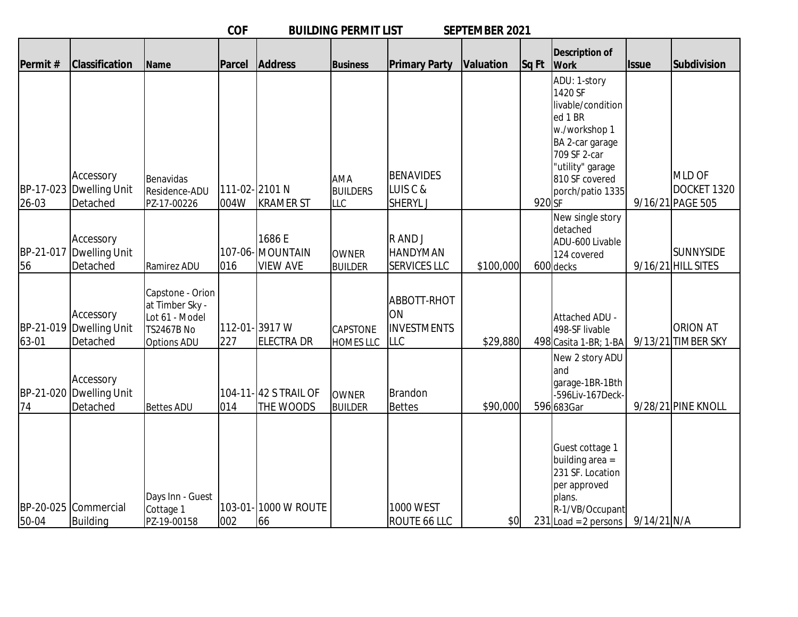**COF BUILDING PERMIT LIST SEPTEMBER 2021**

| Permit# | <b>Classification</b>                            | <b>Name</b>                                                                                      | Parcel                | <b>Address</b>                               | <b>Business</b>                      | <b>Primary Party</b>                               | <b>Valuation</b> | Sq Ft             | <b>Description of</b><br><b>Work</b>                                                                                                                                  | <b>Issue</b>  | <b>Subdivision</b>                        |
|---------|--------------------------------------------------|--------------------------------------------------------------------------------------------------|-----------------------|----------------------------------------------|--------------------------------------|----------------------------------------------------|------------------|-------------------|-----------------------------------------------------------------------------------------------------------------------------------------------------------------------|---------------|-------------------------------------------|
| 26-03   | Accessory<br>BP-17-023 Dwelling Unit<br>Detached | Benavidas<br>Residence-ADU<br>PZ-17-00226                                                        | 111-02-2101 N<br>004W | <b>KRAMER ST</b>                             | AMA<br><b>BUILDERS</b><br><b>LLC</b> | <b>BENAVIDES</b><br>LUISC&<br>SHERYL J             |                  | 920 <sub>SF</sub> | ADU: 1-story<br>1420 SF<br>livable/condition<br>ed 1 BR<br>w./workshop 1<br>BA 2-car garage<br>709 SF 2-car<br>"utility" garage<br>810 SF covered<br>porch/patio 1335 |               | MLD OF<br>DOCKET 1320<br>9/16/21 PAGE 505 |
| 56      | Accessory<br>BP-21-017 Dwelling Unit<br>Detached | Ramirez ADU                                                                                      | 016                   | 1686 E<br>107-06-MOUNTAIN<br><b>VIEW AVE</b> | <b>OWNER</b><br><b>BUILDER</b>       | IR AND J<br><b>HANDYMAN</b><br><b>SERVICES LLC</b> | \$100,000        |                   | New single story<br>detached<br>ADU-600 Livable<br>124 covered<br>600 decks                                                                                           |               | <b>SUNNYSIDE</b><br>9/16/21 HILL SITES    |
| 63-01   | Accessory<br>BP-21-019 Dwelling Unit<br>Detached | Capstone - Orion<br>at Timber Sky -<br>Lot 61 - Model<br><b>TS2467B No</b><br><b>Options ADU</b> | 227                   | 112-01-3917W<br><b>ELECTRA DR</b>            | <b>CAPSTONE</b><br><b>HOMES LLC</b>  | ABBOTT-RHOT<br><b>ON</b><br>INVESTMENTS<br>LLC     | \$29,880         |                   | Attached ADU -<br>498-SF livable<br>498 Casita 1-BR; 1-BA                                                                                                             | 9/13/21       | <b>ORION AT</b><br><b>TIMBER SKY</b>      |
| 74      | Accessory<br>BP-21-020 Dwelling Unit<br>Detached | <b>Bettes ADU</b>                                                                                | 014                   | 104-11-42 S TRAIL OF<br>THE WOODS            | <b>OWNER</b><br><b>BUILDER</b>       | Brandon<br>Bettes                                  | \$90,000         |                   | New 2 story ADU<br>land<br>garage-1BR-1Bth<br>-596Liv-167Deck-<br>596 683 Gar                                                                                         |               | 9/28/21 PINE KNOLL                        |
| 50-04   | BP-20-025 Commercial<br><b>Building</b>          | Days Inn - Guest<br>Cottage 1<br>PZ-19-00158                                                     | 002                   | 103-01- 1000 W ROUTE<br>66                   |                                      | <b>1000 WEST</b><br><b>ROUTE 66 LLC</b>            | \$0              |                   | Guest cottage 1<br>building $area =$<br>231 SF. Location<br>per approved<br>plans.<br>R-1/VB/Occupant<br>$231$ Load = 2 persons                                       | $9/14/21$ N/A |                                           |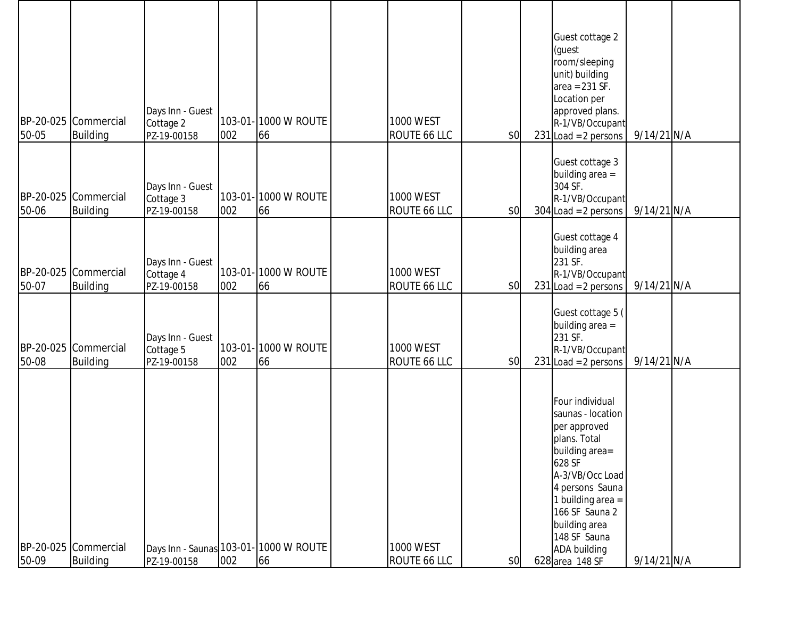| 50-05 | BP-20-025 Commercial<br>Building | Days Inn - Guest<br>Cottage 2<br>PZ-19-00158          | 002 | 103-01- 1000 W ROUTE<br>66 | 1000 WEST<br><b>ROUTE 66 LLC</b> | \$0 | Guest cottage 2<br>(guest<br>room/sleeping<br>unit) building<br>$area = 231$ SF.<br>Location per<br>approved plans.<br>R-1/VB/Occupant<br>$231$ Load = 2 persons                                                                                    | $9/14/21$ N/A |  |
|-------|----------------------------------|-------------------------------------------------------|-----|----------------------------|----------------------------------|-----|-----------------------------------------------------------------------------------------------------------------------------------------------------------------------------------------------------------------------------------------------------|---------------|--|
| 50-06 | BP-20-025 Commercial<br>Building | Days Inn - Guest<br>Cottage 3<br>PZ-19-00158          | 002 | 103-01- 1000 W ROUTE<br>66 | 1000 WEST<br>ROUTE 66 LLC        | \$0 | Guest cottage 3<br>building area =<br>304 SF.<br>R-1/VB/Occupant<br>$304$ Load = 2 persons                                                                                                                                                          | $9/14/21$ N/A |  |
| 50-07 | BP-20-025 Commercial<br>Building | Days Inn - Guest<br>Cottage 4<br>PZ-19-00158          | 002 | 103-01- 1000 W ROUTE<br>66 | 1000 WEST<br>ROUTE 66 LLC        | \$0 | Guest cottage 4<br>building area<br>231 SF.<br>R-1/VB/Occupant<br>$231$ Load = 2 persons                                                                                                                                                            | $9/14/21$ N/A |  |
| 50-08 | BP-20-025 Commercial<br>Building | Days Inn - Guest<br>Cottage 5<br>PZ-19-00158          | 002 | 103-01- 1000 W ROUTE<br>66 | 1000 WEST<br>ROUTE 66 LLC        | \$0 | Guest cottage 5 (<br>building area =<br>231 SF.<br>R-1/VB/Occupant<br>$231$ Load = 2 persons                                                                                                                                                        | $9/14/21$ N/A |  |
| 50-09 | BP-20-025 Commercial<br>Building | Days Inn - Saunas 103-01- 1000 W ROUTE<br>PZ-19-00158 | 002 | 66                         | 1000 WEST<br>ROUTE 66 LLC        | \$0 | Four individual<br>saunas - location<br>per approved<br>plans. Total<br>building area=<br>628 SF<br>A-3/VB/Occ Load<br>4 persons Sauna<br>1 building area $=$<br>166 SF Sauna 2<br>building area<br>148 SF Sauna<br>ADA building<br>628 area 148 SF | $9/14/21$ N/A |  |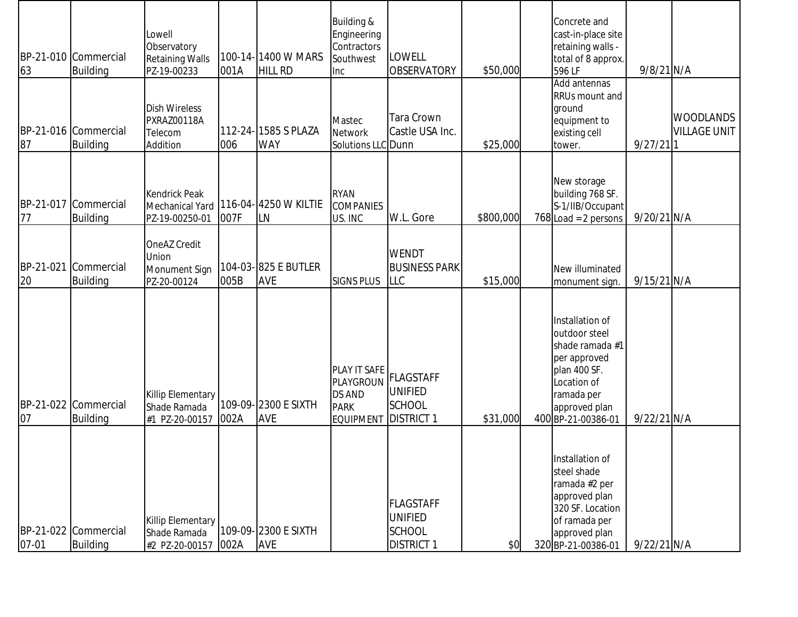| 63              | BP-21-010 Commercial<br>Building        | Lowell<br>Observatory<br><b>Retaining Walls</b><br>PZ-19-00233 | 001A | 100-14-1400 W MARS<br><b>HILL RD</b> | Building &<br>Engineering<br>Contractors<br>Southwest<br>llnc          | <b>LOWELL</b><br><b>OBSERVATORY</b>                                      | \$50,000  | Concrete and<br>cast-in-place site<br>retaining walls -<br>total of 8 approx.<br>596 LF<br>Add antennas<br>RRUs mount and                               | $9/8/21$ <sub>N/A</sub>  |                                         |
|-----------------|-----------------------------------------|----------------------------------------------------------------|------|--------------------------------------|------------------------------------------------------------------------|--------------------------------------------------------------------------|-----------|---------------------------------------------------------------------------------------------------------------------------------------------------------|--------------------------|-----------------------------------------|
| 87              | BP-21-016 Commercial<br>Building        | <b>Dish Wireless</b><br>PXRAZ00118A<br>Telecom<br>Addition     | 006  | 112-24-1585 S PLAZA<br><b>WAY</b>    | Mastec<br>Network<br>Solutions LLC Dunn                                | Tara Crown<br>Castle USA Inc.                                            | \$25,000  | ground<br>equipment to<br>existing cell<br>tower.                                                                                                       | $9/27/21$ 1              | <b>WOODLANDS</b><br><b>VILLAGE UNIT</b> |
| 77              | BP-21-017 Commercial<br><b>Building</b> | Kendrick Peak<br>Mechanical Yard<br>PZ-19-00250-01             | 007F | 116-04- 4250 W KILTIE<br><b>ILN</b>  | RYAN<br><b>COMPANIES</b><br>US. INC                                    | W.L. Gore                                                                | \$800,000 | New storage<br>building 768 SF.<br>S-1/IIB/Occupant<br>$768$ Load = 2 persons                                                                           | $9/20/21$ N/A            |                                         |
| BP-21-021<br>20 | Commercial<br>Building                  | OneAZ Credit<br>Union<br>Monument Sign<br>PZ-20-00124          | 005B | 104-03- 825 E BUTLER<br><b>AVE</b>   | <b>SIGNS PLUS</b>                                                      | <b>WENDT</b><br><b>BUSINESS PARK</b><br><b>LLC</b>                       | \$15,000  | New illuminated<br>monument sign.                                                                                                                       | $9/15/21$ <sub>N/A</sub> |                                         |
| 07              | BP-21-022 Commercial<br>Building        | Killip Elementary<br>Shade Ramada<br>#1 PZ-20-00157            | 002A | 109-09-2300 E SIXTH<br><b>AVE</b>    | PLAY IT SAFE<br>PLAYGROUN<br><b>DS AND</b><br>PARK<br><b>EQUIPMENT</b> | <b>FLAGSTAFF</b><br><b>UNIFIED</b><br><b>SCHOOL</b><br><b>DISTRICT 1</b> | \$31,000  | Installation of<br>outdoor steel<br>shade ramada #1<br>per approved<br>plan 400 SF.<br>Location of<br>ramada per<br>approved plan<br>400 BP-21-00386-01 | $9/22/21$ N/A            |                                         |
| $07 - 01$       | BP-21-022 Commercial<br>Building        | Killip Elementary<br>Shade Ramada<br>#2 PZ-20-00157            | 002A | 109-09-2300 E SIXTH<br><b>AVE</b>    |                                                                        | <b>FLAGSTAFF</b><br><b>UNIFIED</b><br><b>SCHOOL</b><br><b>DISTRICT 1</b> | \$0       | Installation of<br>steel shade<br>ramada #2 per<br>approved plan<br>320 SF. Location<br>of ramada per<br>approved plan<br>320 BP-21-00386-01            | $9/22/21$ N/A            |                                         |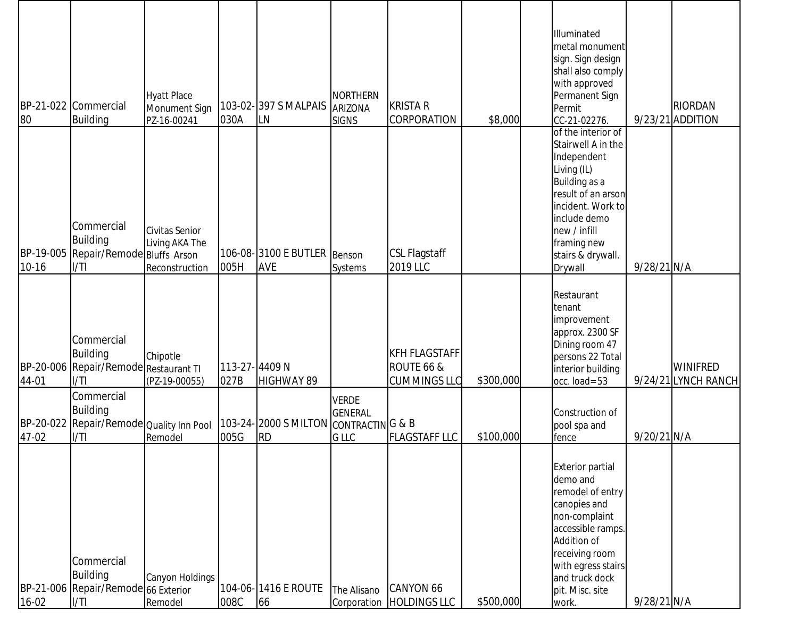| 80        | BP-21-022 Commercial<br>Building                                                   | Hyatt Place<br>Monument Sign<br>PZ-16-00241        | 030A                   | 103-02-1397 S MALPAIS   ARIZONA<br><b>ILN</b> | NORTHERN<br><b>SIGNS</b>         | <b>KRISTA R</b><br>CORPORATION                            | \$8,000   | Illuminated<br>metal monument<br>sign. Sign design<br>shall also comply<br>with approved<br>Permanent Sign<br>Permit<br>CC-21-02276.                                                                               |                          | RIORDAN<br>9/23/21 ADDITION            |
|-----------|------------------------------------------------------------------------------------|----------------------------------------------------|------------------------|-----------------------------------------------|----------------------------------|-----------------------------------------------------------|-----------|--------------------------------------------------------------------------------------------------------------------------------------------------------------------------------------------------------------------|--------------------------|----------------------------------------|
| $10 - 16$ | Commercial<br>Building<br>BP-19-005 Repair/Remode Bluffs Arson<br> 1/T             | Civitas Senior<br>Living AKA The<br>Reconstruction | 005H                   | 106-08-13100 E BUTLER Benson<br><b>AVE</b>    | Systems                          | <b>CSL Flagstaff</b><br>2019 LLC                          |           | of the interior of<br>Stairwell A in the<br>Independent<br>Living (IL)<br>Building as a<br>result of an arson<br>incident. Work to<br>include demo<br>new / infill<br>framing new<br>stairs & drywall.<br>Drywall  | $9/28/21$ N/A            |                                        |
| 44-01     | Commercial<br>Building<br>BP-20-006 Repair/Remode Restaurant TI<br>I/TI            | Chipotle<br>$(PZ-19-00055)$                        | 113-27- 4409 N<br>027B | HIGHWAY 89                                    |                                  | <b>KFH FLAGSTAFF</b><br>ROUTE 66 &<br><b>CUMMINGS LLC</b> | \$300,000 | Restaurant<br>tenant<br>improvement<br>approx. 2300 SF<br>Dining room 47<br>persons 22 Total<br>interior building<br>occ. load=53                                                                                  |                          | <b>WINIFRED</b><br>9/24/21 LYNCH RANCH |
| 47-02     | Commercial<br><b>Building</b><br>BP-20-022 Repair/Remode Quality Inn Pool<br>II/TI | Remodel                                            | 005G                   | 103-24-2000 S MILTON CONTRACTING & B<br> RD   | <b>VERDE</b><br>GENERAL<br>G LLC | <b>FLAGSTAFF LLC</b>                                      | \$100,000 | Construction of<br>pool spa and<br>fence                                                                                                                                                                           | $9/20/21$ <sub>N/A</sub> |                                        |
| 16-02     | Commercial<br><b>Building</b><br>BP-21-006 Repair/Remode 66 Exterior<br> 1/T       | Canyon Holdings<br>Remodel                         | 008C                   | 104-06-11416 E ROUTE<br>66                    | The Alisano<br>Corporation       | CANYON 66<br><b>HOLDINGS LLC</b>                          | \$500,000 | <b>Exterior partial</b><br>demo and<br>remodel of entry<br>canopies and<br>non-complaint<br>accessible ramps.<br>Addition of<br>receiving room<br>with egress stairs<br>and truck dock<br>pit. Misc. site<br>work. | $9/28/21$ N/A            |                                        |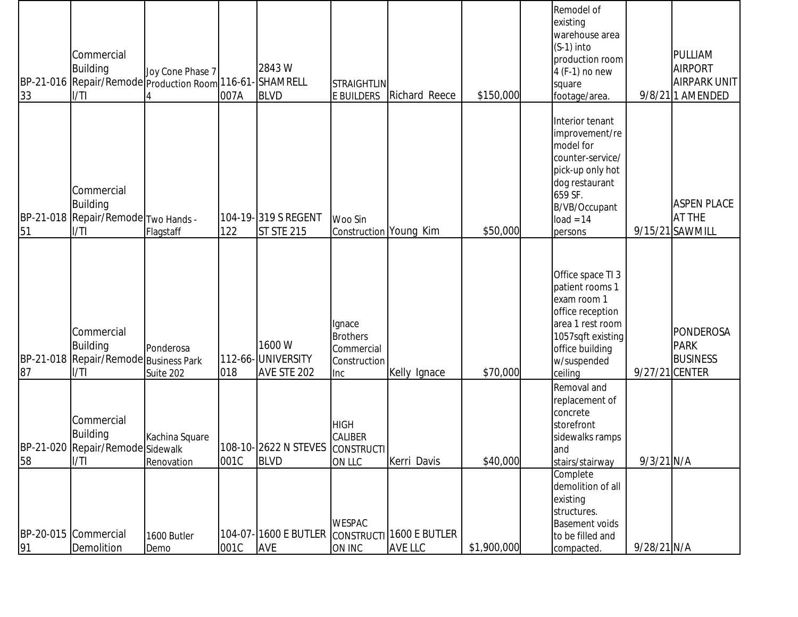| 33 | Commercial<br>Building<br>BP-21-016 Repair/Remode Production Room 116-61-SHAMRELL<br>I/TI | Joy Cone Phase 7             | 007A | 2843W<br>BLVD                             | STRAIGHTLIN<br><b>E BUILDERS</b>                               | <b>Richard Reece</b>                                      | \$150,000   | Remodel of<br>existing<br>warehouse area<br>$(S-1)$ into<br>production room<br>4 (F-1) no new<br>square<br>footage/area.                                       |                | PULLIAM<br><b>AIRPORT</b><br>AIRPARK UNIT<br>9/8/211 AMENDED |
|----|-------------------------------------------------------------------------------------------|------------------------------|------|-------------------------------------------|----------------------------------------------------------------|-----------------------------------------------------------|-------------|----------------------------------------------------------------------------------------------------------------------------------------------------------------|----------------|--------------------------------------------------------------|
| 51 | Commercial<br>Building<br>BP-21-018 Repair/Remode Two Hands -<br>I/TI                     | Flagstaff                    | 122  | 104-19-319 S REGENT<br>ST STE 215         | Woo Sin<br>Construction Young Kim                              |                                                           | \$50,000    | Interior tenant<br>improvement/re<br>model for<br>counter-service/<br>pick-up only hot<br>dog restaurant<br>659 SF.<br>B/VB/Occupant<br>$load = 14$<br>persons |                | <b>ASPEN PLACE</b><br><b>AT THE</b><br>9/15/21 SAWMILL       |
| 87 | Commercial<br>Building<br>BP-21-018 Repair/Remode Business Park<br>I/TI                   | Ponderosa<br>Suite 202       | 018  | 1600W<br>112-66-UNIVERSITY<br>AVE STE 202 | Ignace<br><b>Brothers</b><br>Commercial<br>Construction<br>Inc | Kelly Ignace                                              | \$70,000    | Office space TI 3<br>patient rooms 1<br>exam room 1<br>office reception<br>area 1 rest room<br>1057sqft existing<br>office building<br>w/suspended<br>ceiling  | 9/27/21 CENTER | PONDEROSA<br>PARK<br><b>BUSINESS</b>                         |
| 58 | Commercial<br>Building<br>BP-21-020 Repair/Remode Sidewalk<br> 1/T                        | Kachina Square<br>Renovation | 001C | 108-10-2622 N STEVES<br><b>BLVD</b>       | <b>HIGH</b><br>CALIBER<br>CONSTRUCTI<br>ON LLC                 | Kerri Davis                                               | \$40,000    | Removal and<br>replacement of<br>concrete<br>storefront<br>sidewalks ramps<br>and<br>stairs/stairway                                                           | $9/3/21$ N/A   |                                                              |
| 91 | BP-20-015 Commercial<br>Demolition                                                        | 1600 Butler<br>Demo          | 001C | <b>AVE</b>                                | <b>WESPAC</b><br>ON INC                                        | 104-07- 1600 E BUTLER CONSTRUCTI 1600 E BUTLER<br>AVE LLC | \$1,900,000 | Complete<br>demolition of all<br>existing<br>structures.<br><b>Basement voids</b><br>to be filled and<br>compacted.                                            | $9/28/21$ N/A  |                                                              |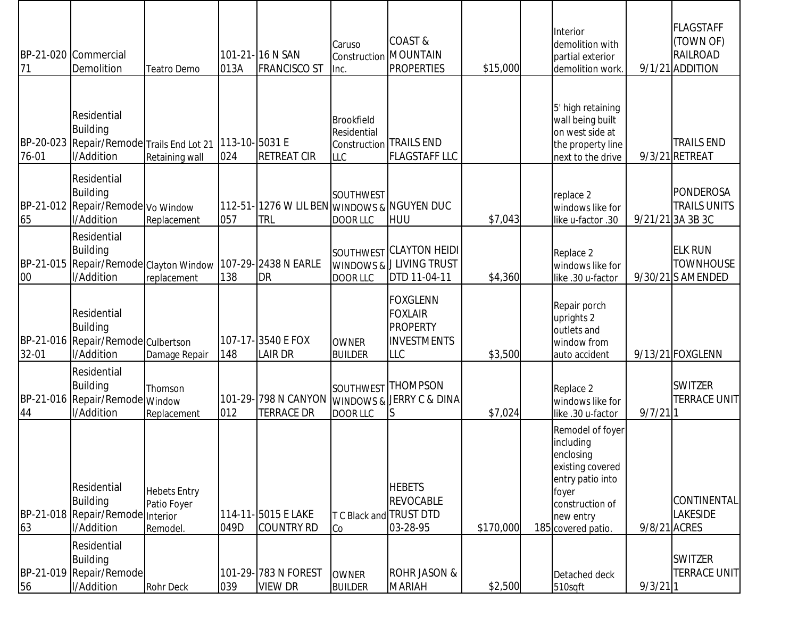| 71    | BP-21-020 Commercial<br>Demolition                                                        | <b>Teatro Demo</b>                             | 013A                 | 101-21-16 N SAN<br><b>FRANCISCO ST</b>                   | Caruso<br>Construction<br>Inc.                          | COAST&<br><b>MOUNTAIN</b><br><b>PROPERTIES</b>                                    | \$15,000  | Interior<br>demolition with<br>partial exterior<br>demolition work.                                                                               |              | FLAGSTAFF<br>(TOWN OF)<br>RAILROAD<br>9/1/21 ADDITION  |
|-------|-------------------------------------------------------------------------------------------|------------------------------------------------|----------------------|----------------------------------------------------------|---------------------------------------------------------|-----------------------------------------------------------------------------------|-----------|---------------------------------------------------------------------------------------------------------------------------------------------------|--------------|--------------------------------------------------------|
| 76-01 | Residential<br><b>Building</b><br>BP-20-023 Repair/Remode Trails End Lot 21<br>I/Addition | Retaining wall                                 | 113-10-5031 E<br>024 | <b>RETREAT CIR</b>                                       | Brookfield<br>Residential<br>Construction<br><b>LLC</b> | <b>TRAILS END</b><br><b>FLAGSTAFF LLC</b>                                         |           | 5' high retaining<br>wall being built<br>on west side at<br>the property line<br>next to the drive                                                |              | <b>TRAILS END</b><br>9/3/21 RETREAT                    |
| 65    | Residential<br><b>Building</b><br>BP-21-012 Repair/Remode Vo Window<br>I/Addition         | Replacement                                    | 057                  | 112-51-1276 W LIL BEN WINDOWS & NGUYEN DUC<br><b>TRL</b> | SOUTHWEST<br>DOOR LLC                                   | <b>HUU</b>                                                                        | \$7,043   | replace 2<br>windows like for<br>like u-factor .30                                                                                                |              | PONDEROSA<br><b>TRAILS UNITS</b><br>$9/21/21$ 3A 3B 3C |
| 00    | Residential<br><b>Building</b><br>BP-21-015 Repair/Remode Clayton Window<br>I/Addition    | replacement                                    | 138                  | 107-29-2438 N EARLE<br><b>I</b> DR                       | SOUTHWEST<br>DOOR LLC                                   | <b>CLAYTON HEIDI</b><br><b>WINDOWS &amp; J LIVING TRUST</b><br>DTD 11-04-11       | \$4,360   | Replace 2<br>windows like for<br>like .30 u-factor                                                                                                |              | <b>ELK RUN</b><br><b>TOWNHOUSE</b><br>9/30/21S AMENDED |
| 32-01 | Residential<br>Building<br>BP-21-016 Repair/Remode Culbertson<br>I/Addition               | Damage Repair                                  | 148                  | 107-17-13540 E FOX<br>LAIR DR                            | <b>OWNER</b><br><b>BUILDER</b>                          | <b>FOXGLENN</b><br><b>FOXLAIR</b><br><b>PROPERTY</b><br>INVESTMENTS<br><b>LLC</b> | \$3,500   | Repair porch<br>uprights 2<br>outlets and<br>window from<br>auto accident                                                                         |              | 9/13/21 FOXGLENN                                       |
| 44    | Residential<br><b>Building</b><br>BP-21-016 Repair/Remode Window<br>I/Addition            | Thomson<br>Replacement                         | 012                  | 101-29-1798 N CANYON<br><b>TERRACE DR</b>                | <b>SOUTHWEST</b><br><b>WINDOWS&amp;</b><br>DOOR LLC     | <b>THOMPSON</b><br>JERRY C & DINA                                                 | \$7,024   | Replace 2<br>windows like for<br>like .30 u-factor                                                                                                | $9/7/21$  1  | <b>SWITZER</b><br><b>TERRACE UNIT</b>                  |
| 63    | Residential<br><b>Building</b><br>BP-21-018 Repair/Remode Interior<br>I/Addition          | <b>Hebets Entry</b><br>Patio Foyer<br>Remodel. | $114 - 11$<br>049D   | - 5015 E LAKE<br>COUNTRY RD                              | T C Black and<br>Co                                     | <b>HEBETS</b><br><b>REVOCABLE</b><br><b>TRUST DTD</b><br>03-28-95                 | \$170,000 | Remodel of foyer<br>including<br>enclosing<br>existing covered<br>entry patio into<br>foyer<br>construction of<br>new entry<br>185 covered patio. | 9/8/21 ACRES | CONTINENTAL<br><b>LAKESIDE</b>                         |
| 56    | Residential<br><b>Building</b><br>BP-21-019 Repair/Remode<br>I/Addition                   | Rohr Deck                                      | 039                  | 101-29- 783 N FOREST<br>VIEW DR                          | <b>OWNER</b><br><b>BUILDER</b>                          | <b>ROHR JASON &amp;</b><br><b>MARIAH</b>                                          | \$2,500   | Detached deck<br>510sqft                                                                                                                          | $9/3/21$  1  | <b>SWITZER</b><br><b>TERRACE UNIT</b>                  |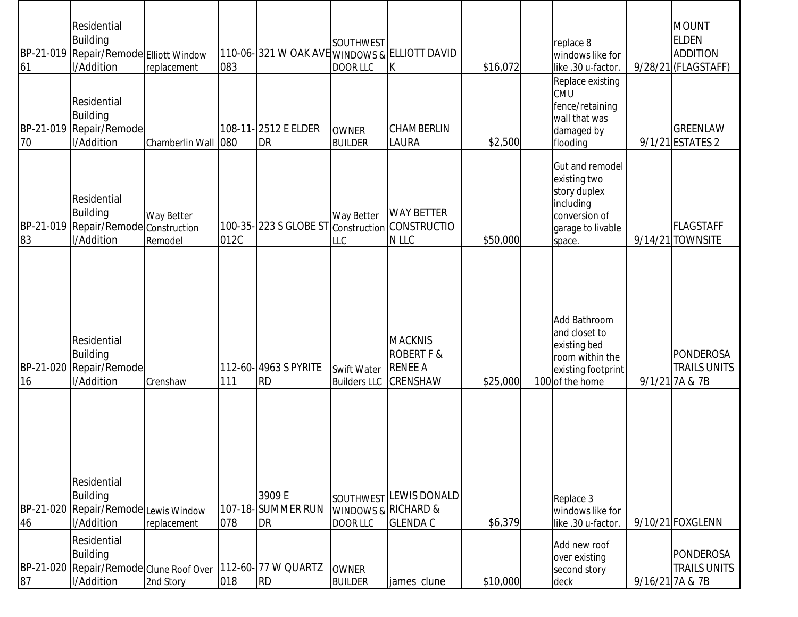| 61              | Residential<br>Building<br>BP-21-019 Repair/Remode Elliott Window<br>I/Addition      | replacement           | 083  | 110-06-321 W OAK AVE WINDOWS & ELLIOTT DAVID | SOUTHWEST<br>DOOR LLC                        | ΙK                                                                           | \$16,072 | replace 8<br>windows like for<br>like .30 u-factor<br>Replace existing                                       |                 | Imount<br><b>ELDEN</b><br><b>ADDITION</b><br>9/28/21 (FLAGSTAFF) |
|-----------------|--------------------------------------------------------------------------------------|-----------------------|------|----------------------------------------------|----------------------------------------------|------------------------------------------------------------------------------|----------|--------------------------------------------------------------------------------------------------------------|-----------------|------------------------------------------------------------------|
| 70              | Residential<br>Building<br>BP-21-019 Repair/Remode<br>I/Addition                     | Chamberlin Wall       | 080  | 108-11-2512 E ELDER<br><b>DR</b>             | <b>OWNER</b><br><b>BUILDER</b>               | <b>CHAMBERLIN</b><br>LAURA                                                   | \$2,500  | CMU<br>fence/retaining<br>wall that was<br>damaged by<br>flooding                                            |                 | <b>GREENLAW</b><br>9/1/21 ESTATES 2                              |
| 83              | Residential<br><b>Building</b><br>BP-21-019 Repair/Remode Construction<br>I/Addition | Way Better<br>Remodel | 012C | 100-35-223 S GLOBE ST Construction           | <b>Way Better</b><br><b>LLC</b>              | <b>WAY BETTER</b><br><b>CONSTRUCTIO</b><br>N LLC                             | \$50,000 | Gut and remodel<br>existing two<br>story duplex<br>including<br>conversion of<br>garage to livable<br>space. |                 | FLAGSTAFF<br>9/14/21 TOWNSITE                                    |
| BP-21-020<br>16 | Residential<br>Building<br>Repair/Remode<br>I/Addition                               | Crenshaw              | 111  | 112-60- 4963 S PYRITE<br><b>RD</b>           | Swift Water<br><b>Builders LLC</b>           | <b>MACKNIS</b><br><b>ROBERT F &amp;</b><br><b>RENEE A</b><br><b>CRENSHAW</b> | \$25,000 | Add Bathroom<br>and closet to<br>existing bed<br>room within the<br>existing footprint<br>100 of the home    |                 | PONDEROSA<br><b>TRAILS UNITS</b><br>$9/1/21$ <sub>7</sub> A & 7B |
| 46              | Residential<br><b>Building</b><br>BP-21-020 Repair/Remode Lewis Window<br>I/Addition | replacement           | 078  | 3909 E<br>107-18-SUMMER RUN<br><b>I</b> DR   | SOUTHWEST<br>WINDOWS & RICHARD &<br>DOOR LLC | <b>EWIS DONALD</b><br><b>GLENDA C</b>                                        | \$6,379  | Replace 3<br>windows like for<br>like .30 u-factor.                                                          |                 | 9/10/21 FOXGLENN                                                 |
| 87              | Residential<br>Building<br>BP-21-020 Repair/Remode Clune Roof Over<br>I/Addition     | 2nd Story             | 018  | 112-60-177 W QUARTZ<br><b>RD</b>             | OWNER<br><b>BUILDER</b>                      | james clune                                                                  | \$10,000 | Add new roof<br>over existing<br>second story<br>deck                                                        | 9/16/21 7A & 7B | PONDEROSA<br><b>TRAILS UNITS</b>                                 |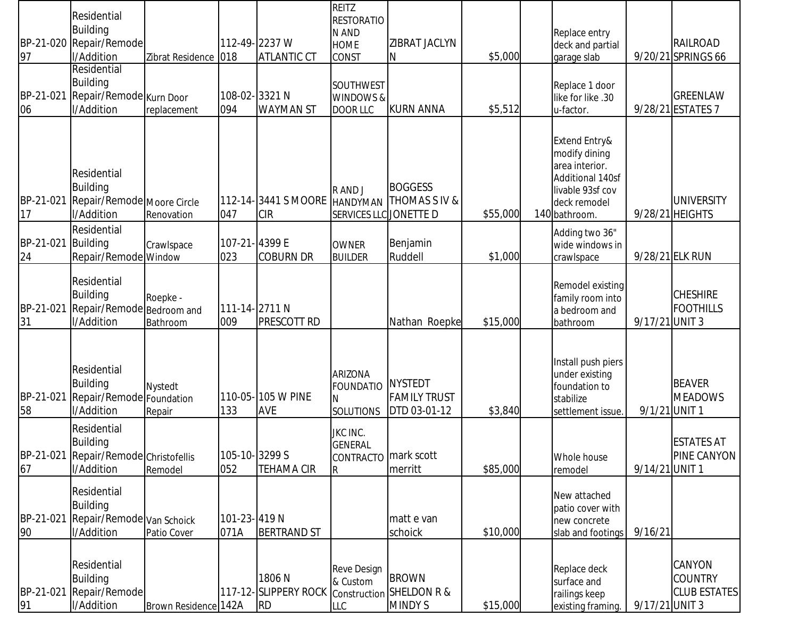| 97              | Residential<br>Building<br>BP-21-020 Repair/Remode<br>I/Addition               | Zibrat Residence     | 018                   | 112-49-2237 W<br><b>ATLANTIC CT</b>        | <b>REITZ</b><br><b>RESTORATIO</b><br>N AND<br><b>HOME</b><br><b>CONST</b> | ZIBRAT JACLYN<br>Ν                                       | \$5,000  | Replace entry<br>deck and partial<br>garage slab                                                                                     |                | RAILROAD<br>9/20/21 SPRINGS 66           |
|-----------------|--------------------------------------------------------------------------------|----------------------|-----------------------|--------------------------------------------|---------------------------------------------------------------------------|----------------------------------------------------------|----------|--------------------------------------------------------------------------------------------------------------------------------------|----------------|------------------------------------------|
| BP-21-021<br>06 | Residential<br><b>Building</b><br>Repair/Remode Kurn Door<br>I/Addition        | replacement          | 108-02-3321 N<br>094  | <b>WAYMAN ST</b>                           | <b>SOUTHWEST</b><br><b>WINDOWS &amp;</b><br>DOOR LLC                      | <b>KURN ANNA</b>                                         | \$5,512  | Replace 1 door<br>like for like .30<br>u-factor.                                                                                     |                | GREENLAW<br>9/28/21 ESTATES 7            |
| 17              | Residential<br>Building<br>BP-21-021 Repair/Remode Moore Circle<br>I/Addition  | Renovation           | 047                   | 112-14-3441 S MOORE<br>ICIR                | R AND J<br><b>HANDYMAN</b><br>SERVICES LLC JONETTE D                      | <b>BOGGESS</b><br>THOMAS S IV &                          | \$55,000 | <b>Extend Entry&amp;</b><br>modify dining<br>area interior.<br>Additional 140sf<br>livable 93sf cov<br>deck remodel<br>140 bathroom. |                | UNIVERSITY<br>9/28/21 HEIGHTS            |
| BP-21-021<br>24 | Residential<br>Building<br>Repair/Remode Window                                | Crawlspace           | 107-21-4399 E<br>023  | <b>COBURN DR</b>                           | OWNER<br>BUILDER                                                          | Benjamin<br>Ruddell                                      | \$1,000  | Adding two 36"<br>wide windows in<br>crawlspace                                                                                      |                | 9/28/21 ELK RUN                          |
| BP-21-021<br>31 | Residential<br>Building<br>Repair/Remode Bedroom and<br>I/Addition             | Roepke -<br>Bathroom | 111-14-2711 N<br>009  | <b>PRESCOTT RD</b>                         |                                                                           | Nathan Roepke                                            | \$15,000 | Remodel existing<br>family room into<br>a bedroom and<br>bathroom                                                                    | 9/17/21 UNIT 3 | <b>CHESHIRE</b><br><b>FOOTHILLS</b>      |
| 58              | Residential<br>Building<br>BP-21-021 Repair/Remode Foundation<br>I/Addition    | Nystedt<br>Repair    | 133                   | 110-05-105 W PINE<br>AVE                   | <b>ARIZONA</b><br><b>FOUNDATIO</b><br><b>SOLUTIONS</b>                    | <b>NYSTEDT</b><br><b>FAMILY TRUST</b><br>DTD 03-01-12    | \$3,840  | Install push piers<br>under existing<br>foundation to<br>stabilize<br>settlement issue.                                              | 9/1/21 UNIT 1  | <b>BEAVER</b><br><b>MEADOWS</b>          |
| 67              | Residential<br>Building<br>BP-21-021 Repair/Remode Christofellis<br>I/Addition | Remodel              | 105-10-3299 S<br>052  | <b>TEHAMA CIR</b>                          | JKC INC.<br><b>GENERAL</b><br>CONTRACTO mark scott<br> R                  | merritt                                                  | \$85,000 | Whole house<br>remodel                                                                                                               | 9/14/21 UNIT 1 | <b>ESTATES AT</b><br>PINE CANYON         |
| BP-21-021<br>90 | Residential<br>Building<br>Repair/Remode Van Schoick<br>I/Addition             | Patio Cover          | 101-23- 419 N<br>071A | <b>BERTRAND ST</b>                         |                                                                           | matt e van<br>schoick                                    | \$10,000 | New attached<br>patio cover with<br>new concrete<br>slab and footings                                                                | 9/16/21        |                                          |
| BP-21-021<br>91 | Residential<br>Building<br>Repair/Remode<br>I/Addition                         | Brown Residence 142A |                       | 1806N<br>117-12-SLIPPERY ROCK<br><b>RD</b> | <b>Reve Design</b><br>& Custom<br>Construction<br>LLC                     | <b>BROWN</b><br><b>SHELDON R &amp;</b><br><b>MINDY S</b> | \$15,000 | Replace deck<br>surface and<br>railings keep<br>existing framing.                                                                    | 9/17/21 UNIT 3 | CANYON<br><b>COUNTRY</b><br>CLUB ESTATES |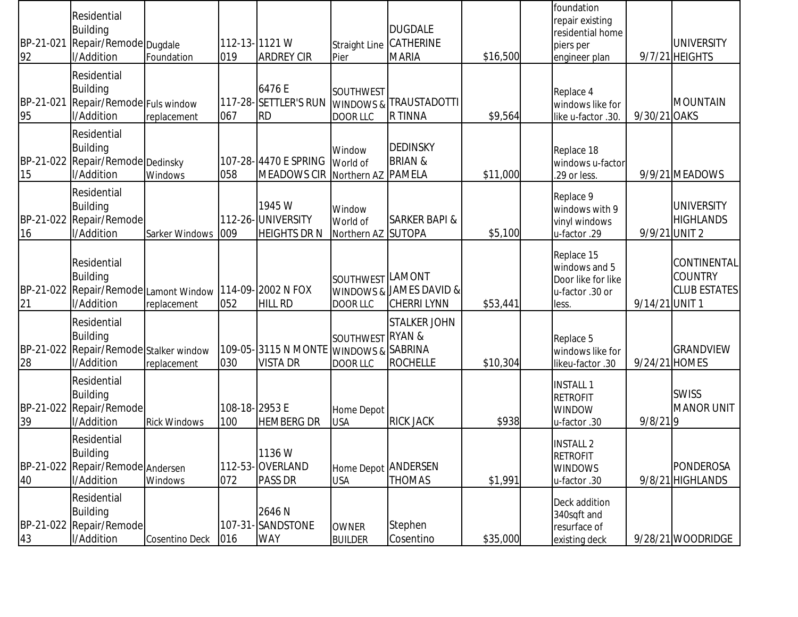| BP-21-021<br>92 | Residential<br><b>Building</b><br>Repair/Remode Dugdale<br>I/Addition                  | Foundation          | 019                  | 112-13-1121 W<br><b>ARDREY CIR</b>                       | Straight Line<br>Pier                     | <b>DUGDALE</b><br><b>CATHERINE</b><br><b>MARIA</b>      | \$16,500 | foundation<br>repair existing<br>residential home<br>piers per<br>engineer plan |               | <b>UNIVERSITY</b><br>9/7/21 HEIGHTS                         |
|-----------------|----------------------------------------------------------------------------------------|---------------------|----------------------|----------------------------------------------------------|-------------------------------------------|---------------------------------------------------------|----------|---------------------------------------------------------------------------------|---------------|-------------------------------------------------------------|
| BP-21-021<br>95 | Residential<br><b>Building</b><br>Repair/Remode Fuls window<br>I/Addition              | replacement         | 117-28<br>067        | 6476 E<br>SETTLER'S RUN<br><b>I</b> RD                   | <b>SOUTHWEST</b><br>WINDOWS &<br>DOOR LLC | <b>TRAUSTADOTTI</b><br>R TINNA                          | \$9,564  | Replace 4<br>windows like for<br>like u-factor .30                              | 9/30/21 OAKS  | MOUNTAIN                                                    |
| 15              | Residential<br>Building<br>BP-21-022 Repair/Remode Dedinsky<br>I/Addition              | <b>Windows</b>      | 058                  | 107-28- 4470 E SPRING<br>MEADOWS CIR                     | Window<br>World of<br>Northern AZ         | <b>DEDINSKY</b><br><b>BRIAN &amp;</b><br><b>PAMELA</b>  | \$11,000 | Replace 18<br>windows u-factor<br>.29 or less.                                  |               | 9/9/21 MEADOWS                                              |
| 16              | Residential<br>Building<br>BP-21-022 Repair/Remode<br>I/Addition                       | Sarker Windows      | 009                  | 1945 W<br>112-26-UNIVERSITY<br><b>HEIGHTS DR N</b>       | Window<br>World of<br>Northern AZ         | <b>SARKER BAPI &amp;</b><br><b>SUTOPA</b>               | \$5,100  | Replace 9<br>windows with 9<br>vinyl windows<br>u-factor .29                    |               | <b>UNIVERSITY</b><br><b>HIGHLANDS</b><br>9/9/21 UNIT 2      |
| 21              | Residential<br><b>Building</b><br>BP-21-022 Repair/Remode Lamont Window<br>I/Addition  | replacement         | 052                  | 114-09-2002 N FOX<br><b>HILL RD</b>                      | SOUTHWEST<br>DOOR LLC                     | <b>LAMONT</b><br>WINDOWS & JAMES DAVID &<br>CHERRI LYNN | \$53,441 | Replace 15<br>windows and 5<br>Door like for like<br>u-factor .30 or<br>less.   | 9/14/21       | CONTINENTAL<br>COUNTRY<br>CLUB ESTATES<br>UNIT <sub>1</sub> |
| 28              | Residential<br><b>Building</b><br>BP-21-022 Repair/Remode Stalker window<br>I/Addition | replacement         | 030                  | 109-05-3115 N MONTE WINDOWS & SABRINA<br><b>VISTA DR</b> | <b>SOUTHWEST</b><br>DOOR LLC              | <b>STALKER JOHN</b><br>RYAN&<br><b>ROCHELLE</b>         | \$10,304 | Replace 5<br>windows like for<br>likeu-factor .30                               | 9/24/21 HOMES | GRANDVIEW                                                   |
| 39              | Residential<br>Building<br>BP-21-022 Repair/Remode<br>I/Addition                       | <b>Rick Windows</b> | 108-18-2953 E<br>100 | <b>HEMBERG DR</b>                                        | Home Depot<br><b>USA</b>                  | <b>RICK JACK</b>                                        | \$938    | <b>INSTALL 1</b><br><b>RETROFIT</b><br><b>WINDOW</b><br>u-factor .30            | $9/8/21$  9   | <b>SWISS</b><br>MANOR UNIT                                  |
| 40              | Residential<br>Building<br>BP-21-022 Repair/Remode Andersen<br>I/Addition              | Windows             | 072                  | 1136W<br>112-53-OVERLAND<br><b>PASS DR</b>               | Home Depot ANDERSEN<br>USA                | THOMAS                                                  | \$1,991  | <b>INSTALL 2</b><br><b>RETROFIT</b><br><b>WINDOWS</b><br>u-factor .30           |               | PONDEROSA<br>9/8/21 HIGHLANDS                               |
| 43              | Residential<br><b>Building</b><br>BP-21-022 Repair/Remode<br>I/Addition                | Cosentino Deck      | 016                  | 2646 N<br>107-31-SANDSTONE<br><b>WAY</b>                 | <b>OWNER</b><br><b>BUILDER</b>            | Stephen<br>Cosentino                                    | \$35,000 | Deck addition<br>340sqft and<br>resurface of<br>existing deck                   |               | 9/28/21 WOODRIDGE                                           |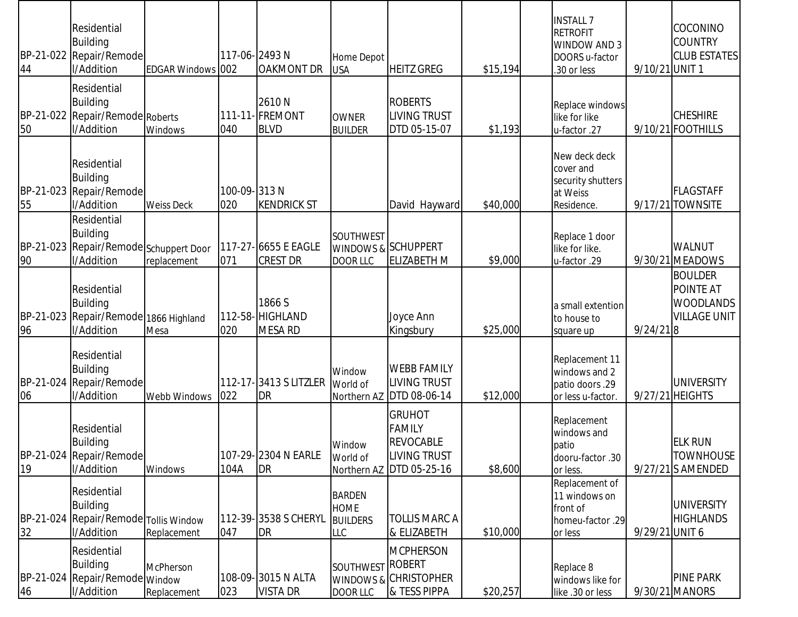| 44 | Residential<br>Building<br>BP-21-022 Repair/Remode<br>I/Addition                | EDGAR Windows 002        | 117-06-2493 N      | <b>OAKMONT DR</b>                           | Home Depot<br><b>USA</b>                               | <b>HEITZ GREG</b>                                                                                     | \$15,194 | <b>INSTALL 7</b><br><b>RETROFIT</b><br><b>WINDOW AND 3</b><br>DOORS u-factor<br>.30 or less | 9/10/21 UNIT 1 | COCONINO<br><b>COUNTRY</b><br><b>CLUB ESTATES</b>                      |
|----|---------------------------------------------------------------------------------|--------------------------|--------------------|---------------------------------------------|--------------------------------------------------------|-------------------------------------------------------------------------------------------------------|----------|---------------------------------------------------------------------------------------------|----------------|------------------------------------------------------------------------|
| 50 | Residential<br>Building<br>BP-21-022 Repair/Remode Roberts<br>I/Addition        | <b>Windows</b>           | 040                | 2610N<br>111-11- FREMONT<br>BLVD            | <b>OWNER</b><br><b>BUILDER</b>                         | <b>ROBERTS</b><br><b>LIVING TRUST</b><br>DTD 05-15-07                                                 | \$1,193  | Replace windows<br>like for like<br>u-factor .27                                            |                | <b>CHESHIRE</b><br>9/10/21 FOOTHILLS                                   |
| 55 | Residential<br>Building<br>BP-21-023 Repair/Remode<br>I/Addition                | <b>Weiss Deck</b>        | 100-09-313N<br>020 | <b>KENDRICK ST</b>                          |                                                        | David Hayward                                                                                         | \$40,000 | New deck deck<br>cover and<br>security shutters<br>at Weiss<br>Residence.                   |                | FLAGSTAFF<br>9/17/21 TOWNSITE                                          |
| 90 | Residential<br>Building<br>BP-21-023 Repair/Remode Schuppert Door<br>I/Addition | replacement              | 071                | 117-27- 6655 E EAGLE<br><b>CREST DR</b>     | <b>SOUTHWEST</b><br><b>DOOR LLC</b>                    | WINDOWS & SCHUPPERT<br><b>ELIZABETH M</b>                                                             | \$9,000  | Replace 1 door<br>like for like.<br>u-factor .29                                            |                | <b>WALNUT</b><br>9/30/21 MEADOWS                                       |
| 96 | Residential<br>Building<br>BP-21-023 Repair/Remode 1866 Highland<br>I/Addition  | Mesa                     | 020                | 1866 S<br>112-58-HIGHLAND<br><b>MESA RD</b> |                                                        | Joyce Ann<br>Kingsbury                                                                                | \$25,000 | a small extention<br>to house to<br>square up                                               | $9/24/21$  8   | <b>BOULDER</b><br>POINTE AT<br><b>WOODLANDS</b><br><b>VILLAGE UNIT</b> |
| 06 | Residential<br>Building<br>BP-21-024 Repair/Remode<br>I/Addition                | <b>Webb Windows</b>      | 022                | 112-17- 3413 S LITZLER<br><b>I</b> DR       | Window<br>World of<br>Northern AZ                      | <b>WEBB FAMILY</b><br><b>LIVING TRUST</b><br>DTD 08-06-14                                             | \$12,000 | Replacement 11<br>windows and 2<br>patio doors .29<br>or less u-factor.                     |                | UNIVERSITY<br>9/27/21 HEIGHTS                                          |
| 19 | Residential<br>Building<br>BP-21-024 Repair/Remode<br>I/Addition                | Windows                  | 104A               | 107-29-2304 N EARLE<br>DR.                  | Window<br>World of                                     | <b>GRUHOT</b><br><b>FAMILY</b><br><b>REVOCABLE</b><br><b>LIVING TRUST</b><br>Northern AZ DTD 05-25-16 | \$8,600  | Replacement<br>windows and<br>patio<br>dooru-factor .30<br>or less.                         |                | <b>ELK RUN</b><br><b>TOWNHOUSE</b><br>9/27/21S AMENDED                 |
| 32 | Residential<br>Building<br>BP-21-024 Repair/Remode Tollis Window<br>I/Addition  | Replacement              | 047                | 112-39- 3538 S CHERYL<br><b>I</b> DR        | <b>BARDEN</b><br><b>HOME</b><br><b>BUILDERS</b><br>LLC | <b>TOLLIS MARC A</b><br>& ELIZABETH                                                                   | \$10,000 | Replacement of<br>11 windows on<br>front of<br>homeu-factor .29<br>or less                  | 9/29/21 UNIT 6 | UNIVERSITY<br><b>HIGHLANDS</b>                                         |
| 46 | Residential<br>Building<br>BP-21-024 Repair/Remode Window<br>I/Addition         | McPherson<br>Replacement | 023                | 108-09- 3015 N ALTA<br>VISTA DR             | SOUTHWEST<br><b>DOOR LLC</b>                           | <b>MCPHERSON</b><br><b>ROBERT</b><br>WINDOWS & CHRISTOPHER<br>& TESS PIPPA                            | \$20,257 | Replace 8<br>windows like for<br>like .30 or less                                           |                | <b>PINE PARK</b><br>9/30/21 MANORS                                     |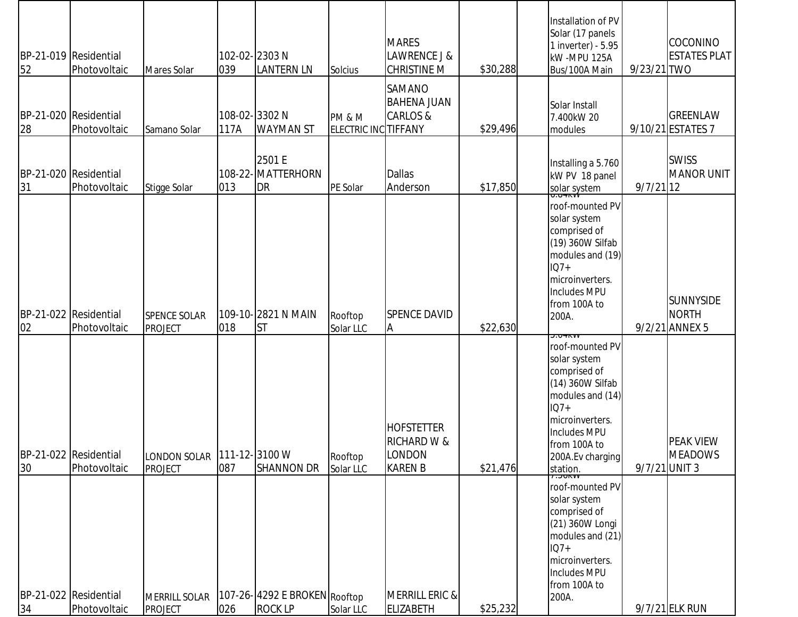| 52 | BP-21-019 Residential<br>Photovoltaic | Mares Solar                           | 102-02-2303 N<br>039  | <b>LANTERN LN</b>                              | Solcius                        | <b>MARES</b><br>LAWRENCE J &<br><b>CHRISTINE M</b><br><b>SAMANO</b> | \$30,288 | Installation of PV<br>Solar (17 panels<br>1 inverter) - 5.95<br>kW-MPU 125A<br>Bus/100A Main                                                                                                           | 9/23/21 TWO | COCONINO<br><b>ESTATES PLAT</b>                     |
|----|---------------------------------------|---------------------------------------|-----------------------|------------------------------------------------|--------------------------------|---------------------------------------------------------------------|----------|--------------------------------------------------------------------------------------------------------------------------------------------------------------------------------------------------------|-------------|-----------------------------------------------------|
| 28 | BP-21-020 Residential<br>Photovoltaic | Samano Solar                          | 108-02-3302 N<br>117A | <b>WAYMAN ST</b>                               | PM & M<br>ELECTRIC INC TIFFANY | <b>BAHENA JUAN</b><br><b>CARLOS &amp;</b>                           | \$29,496 | Solar Install<br>7.400kW 20<br>modules                                                                                                                                                                 |             | <b>GREENLAW</b><br>9/10/21 ESTATES 7                |
| 31 | BP-21-020 Residential<br>Photovoltaic | Stigge Solar                          | 013                   | 2501 E<br>108-22-MATTERHORN<br><b>IDR</b>      | PE Solar                       | <b>Dallas</b><br>Anderson                                           | \$17,850 | Installing a 5.760<br>kW PV 18 panel<br>solar system                                                                                                                                                   | $9/7/21$ 12 | <b>SWISS</b><br><b>MANOR UNIT</b>                   |
| 02 | BP-21-022 Residential<br>Photovoltaic | <b>SPENCE SOLAR</b><br><b>PROJECT</b> | 018                   | 109-10-2821 N MAIN<br><b>ST</b>                | Rooftop<br>Solar LLC           | <b>SPENCE DAVID</b><br>ΙA                                           | \$22,630 | roof-mounted PV<br>solar system<br>comprised of<br>(19) 360W Silfab<br>modules and (19)<br>$IO7+$<br>microinverters.<br>Includes MPU<br>from 100A to<br>200A.                                          |             | <b>SUNNYSIDE</b><br><b>NORTH</b><br>9/2/21 ANNEX 5  |
| 30 | BP-21-022 Residential<br>Photovoltaic | <b>LONDON SOLAR</b><br><b>PROJECT</b> | 111-12-3100 W<br>087  | SHANNON DR                                     | Rooftop<br>Solar LLC           | <b>HOFSTETTER</b><br><b>RICHARD W &amp;</b><br>LONDON<br>KAREN B    | \$21,476 | <b>J.U4NVV</b><br>roof-mounted PV<br>solar system<br>comprised of<br>(14) 360W Silfab<br>modules and (14)<br>$IQ7+$<br>microinverters.<br>Includes MPU<br>from 100A to<br>200A.Ev charging<br>station. |             | <b>PEAK VIEW</b><br><b>MEADOWS</b><br>9/7/21 UNIT 3 |
| 34 | BP-21-022 Residential<br>Photovoltaic | MERRILL SOLAR<br><b>PROJECT</b>       | 026                   | 107-26-4292 E BROKEN Rooftop<br><b>ROCK LP</b> | Solar LLC                      | MERRILL ERIC &<br><b>ELIZABETH</b>                                  | \$25,232 | 7.JUNVV<br>roof-mounted PV<br>solar system<br>comprised of<br>(21) 360W Longi<br>modules and (21)<br>$IO7+$<br>microinverters.<br>Includes MPU<br>from 100A to<br>200A.                                |             | 9/7/21 ELK RUN                                      |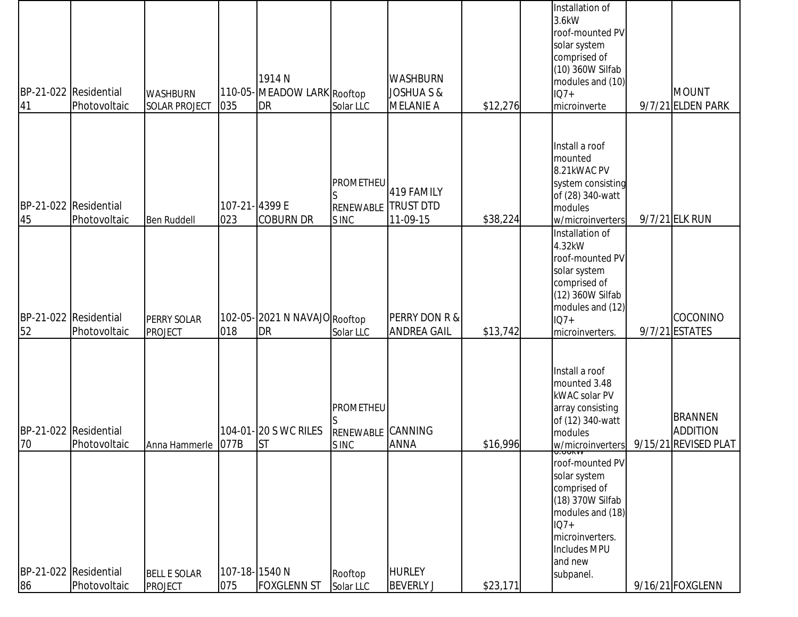| 41                           | BP-21-022 Residential<br>Photovoltaic | <b>WASHBURN</b><br><b>SOLAR PROJECT</b> | 035                   | 1914 N<br>110-05-MEADOW LARK Rooftop<br>DR | Solar LLC                               | <b>WASHBURN</b><br>JOSHUA S &<br><b>MELANIE A</b> | \$12,276 | Installation of<br>3.6kW<br>roof-mounted PV<br>solar system<br>comprised of<br>(10) 360W Silfab<br>modules and (10)<br>$IO7+$<br>microinverte                                 | MOUNT<br>9/7/21 ELDEN PARK                         |
|------------------------------|---------------------------------------|-----------------------------------------|-----------------------|--------------------------------------------|-----------------------------------------|---------------------------------------------------|----------|-------------------------------------------------------------------------------------------------------------------------------------------------------------------------------|----------------------------------------------------|
| BP-21-022 Residential<br>145 | Photovoltaic                          | Ben Ruddell                             | 107-21- 4399 E<br>023 | <b>COBURN DR</b>                           | PROMETHEU<br>RENEWABLE<br>S INC         | 419 FAMILY<br><b>TRUST DTD</b><br>11-09-15        | \$38,224 | Install a roof<br>mounted<br>8.21kWAC PV<br>system consisting<br>of (28) 340-watt<br>modules<br>w/microinverters                                                              | 9/7/21 ELK RUN                                     |
| 52                           | BP-21-022 Residential<br>Photovoltaic | <b>PERRY SOLAR</b><br>PROJECT           | 018                   | 102-05-2021 N NAVAJORooftop<br>DR          | Solar LLC                               | PERRY DON R &<br><b>ANDREA GAIL</b>               | \$13,742 | Installation of<br>4.32kW<br>roof-mounted PV<br>solar system<br>comprised of<br>(12) 360W Silfab<br>modules and (12)<br>$IO7+$<br>microinverters.                             | COCONINO<br>9/7/21 ESTATES                         |
| 70                           | BP-21-022 Residential<br>Photovoltaic | Anna Hammerle                           | 077B                  | 104-01-20 S WC RILES<br> ST                | PROMETHEU<br>RENEWABLE CANNING<br>S INC | <b>ANNA</b>                                       | \$16,996 | Install a roof<br>mounted 3.48<br>kWAC solar PV<br>array consisting<br>of (12) 340-watt<br>modules<br>w/microinverters                                                        | <b>BRANNEN</b><br>ADDITION<br>9/15/21 REVISED PLAT |
| 86                           | BP-21-022 Residential<br>Photovoltaic | <b>BELL E SOLAR</b><br>PROJECT          | 107-18-1540N<br>075   | <b>FOXGLENN ST</b>                         | Rooftop<br>Solar LLC                    | <b>HURLEY</b><br><b>BEVERLY J</b>                 | \$23,171 | <b>0.00KV</b><br>roof-mounted PV<br>solar system<br>comprised of<br>(18) 370W Silfab<br>modules and (18)<br>$IO7+$<br>microinverters.<br>Includes MPU<br>and new<br>subpanel. | 9/16/21 FOXGLENN                                   |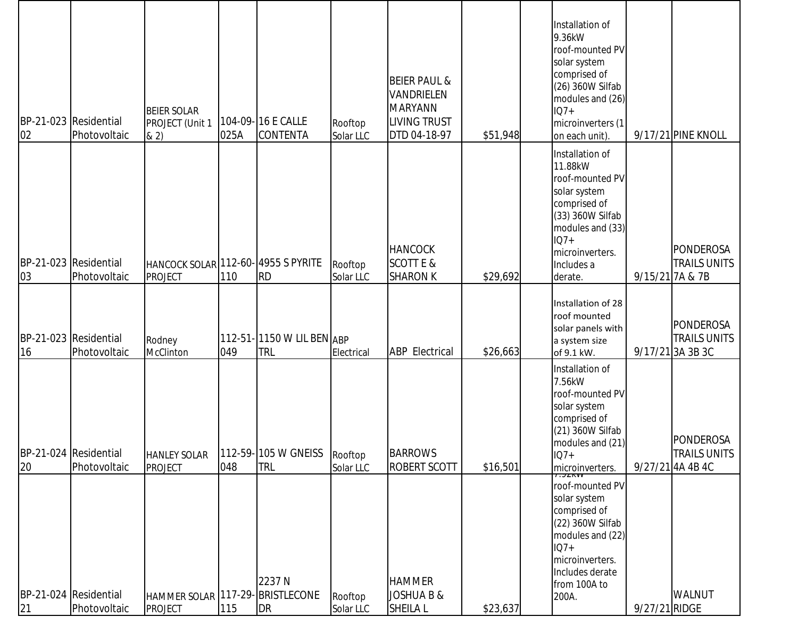| 02                          | BP-21-023 Residential<br>Photovoltaic | <b>BEIER SOLAR</b><br>PROJECT (Unit 1<br>$\vert 8 \vert 2$ | 025A | 104-09-16 E CALLE<br><b>CONTENTA</b>                       | Rooftop<br>Solar LLC | <b>BEIER PAUL &amp;</b><br>VANDRIELEN<br><b>MARYANN</b><br><b>LIVING TRUST</b><br>DTD 04-18-97 | \$51,948 | Installation of<br>9.36kW<br>roof-mounted PV<br>solar system<br>comprised of<br>(26) 360W Silfab<br>modules and (26)<br>$IO7+$<br>microinverters (1<br>on each unit).       |                 | 9/17/21 PINE KNOLL                                   |
|-----------------------------|---------------------------------------|------------------------------------------------------------|------|------------------------------------------------------------|----------------------|------------------------------------------------------------------------------------------------|----------|-----------------------------------------------------------------------------------------------------------------------------------------------------------------------------|-----------------|------------------------------------------------------|
| 03                          | BP-21-023 Residential<br>Photovoltaic | HANCOCK SOLAR 112-60- 4955 S PYRITE<br>PROJECT             | 110  | <b>I</b> RD                                                | Rooftop<br>Solar LLC | <b>HANCOCK</b><br><b>SCOTT E &amp;</b><br><b>SHARON K</b>                                      | \$29,692 | Installation of<br>11.88kW<br>roof-mounted PV<br>solar system<br>comprised of<br>(33) 360W Silfab<br>modules and (33)<br>$IQ7+$<br>microinverters.<br>Includes a<br>derate. | 9/15/21 7A & 7B | PONDEROSA<br><b>TRAILS UNITS</b>                     |
| 16                          | BP-21-023 Residential<br>Photovoltaic | Rodney<br>McClinton                                        | 049  | 112-51-1150 W LIL BEN ABP<br><b>TRL</b>                    | Electrical           | <b>ABP</b> Electrical                                                                          | \$26,663 | Installation of 28<br>roof mounted<br>solar panels with<br>a system size<br>of 9.1 kW.                                                                                      |                 | PONDEROSA<br><b>TRAILS UNITS</b><br>9/17/213A 3B 3C  |
| BP-21-024 Residential<br>20 | Photovoltaic                          | PROJECT                                                    | 048  | HANLEY SOLAR   112-59-105 W GNEISS   Rooftop<br><b>TRL</b> | Solar LLC            | <b>BARROWS</b><br>ROBERT SCOTT                                                                 | \$16,501 | Installation of<br>7.56kW<br>roof-mounted PV<br>solar system<br>comprised of<br>(21) 360W Silfab<br>modules and (21)<br>$IQ7+$<br>microinverters.                           |                 | PONDEROSA<br><b>TRAILS UNITS</b><br>9/27/21 4A 4B 4C |
| 21                          | BP-21-024 Residential<br>Photovoltaic | HAMMER SOLAR 117-29-BRISTLECONE<br>PROJECT                 | 115  | 2237 N<br><b>DR</b>                                        | Rooftop<br>Solar LLC | <b>HAMMER</b><br><b>JOSHUA B &amp;</b><br>SHEILA L                                             | \$23,637 | roof-mounted PV<br>solar system<br>comprised of<br>(22) 360W Silfab<br>modules and (22)<br>$IQ7+$<br>microinverters.<br>Includes derate<br>from 100A to<br>200A.            | 9/27/21 RIDGE   | <b>WALNUT</b>                                        |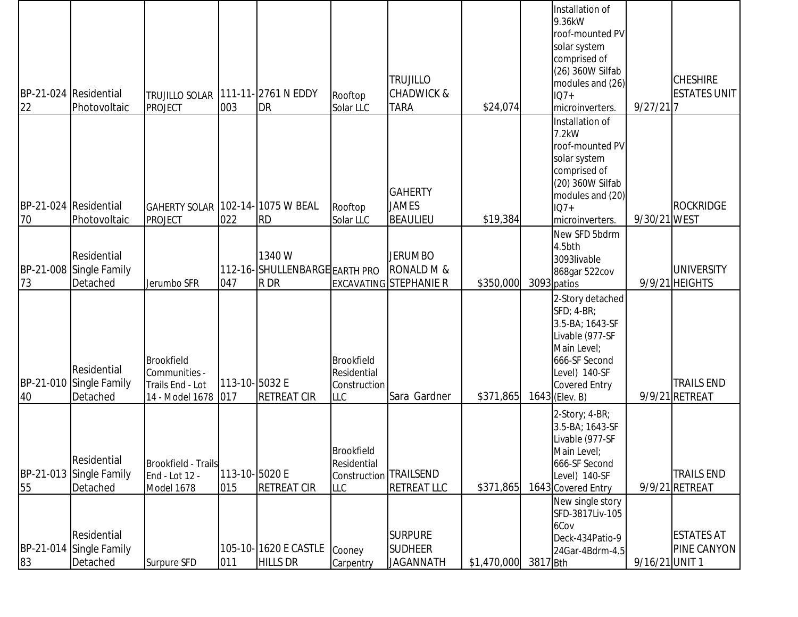| BP-21-024 Residential             |                                                    | TRUJILLO SOLAR 111-11-12761 N EDDY                                 |                       |                                                           | Rooftop                                                 | trujillo<br><b>CHADWICK &amp;</b>                                        |                      | Installation of<br>9.36kW<br>roof-mounted PV<br>solar system<br>comprised of<br>(26) 360W Silfab<br>modules and (26)<br>$IO7+$                                      |                         | <b>CHESHIRE</b><br><b>ESTATES UNIT</b> |
|-----------------------------------|----------------------------------------------------|--------------------------------------------------------------------|-----------------------|-----------------------------------------------------------|---------------------------------------------------------|--------------------------------------------------------------------------|----------------------|---------------------------------------------------------------------------------------------------------------------------------------------------------------------|-------------------------|----------------------------------------|
| 22<br>BP-21-024 Residential<br>70 | Photovoltaic<br>Photovoltaic                       | PROJECT<br>GAHERTY SOLAR 102-14-1075 W BEAL<br>PROJECT             | 003<br>022            | <b>I</b> DR<br><b>RD</b>                                  | Solar LLC<br>Rooftop<br>Solar LLC                       | <b>TARA</b><br><b>GAHERTY</b><br><b>JAMES</b><br><b>BEAULIEU</b>         | \$24,074<br>\$19,384 | microinverters.<br>Installation of<br>7.2kW<br>roof-mounted PV<br>solar system<br>comprised of<br>(20) 360W Silfab<br>modules and (20)<br>$IO7+$<br>microinverters. | 9/27/21<br>9/30/21 WEST | <b>ROCKRIDGE</b>                       |
| 73                                | Residential<br>BP-21-008 Single Family<br>Detached | Jerumbo SFR                                                        | 047                   | 1340W<br>112-16-SHULLENBARGE EARTH PRO<br>R <sub>DR</sub> |                                                         | <b>JERUMBO</b><br><b>RONALD M &amp;</b><br><b>EXCAVATING STEPHANIE R</b> | \$350,000            | New SFD 5bdrm<br>4.5bth<br>3093livable<br>868gar 522cov<br>3093 patios                                                                                              |                         | <b>UNIVERSITY</b><br>9/9/21 HEIGHTS    |
| 40                                | Residential<br>BP-21-010 Single Family<br>Detached | Brookfield<br>Communities -<br>Trails End - Lot<br>14 - Model 1678 | 113-10-5032 E<br> 017 | <b>RETREAT CIR</b>                                        | Brookfield<br>Residential<br>Construction<br><b>LLC</b> | Sara Gardner                                                             | \$371,865            | 2-Story detached<br>SFD; 4-BR;<br>3.5-BA; 1643-SF<br>Livable (977-SF<br>Main Level;<br>666-SF Second<br>Level) 140-SF<br><b>Covered Entry</b><br>1643 (Elev. B)     |                         | <b>TRAILS END</b><br>9/9/21 RETREAT    |
| 55                                | Residential<br>BP-21-013 Single Family<br>Detached | Brookfield - Trails<br>End - Lot 12 -<br>Model 1678                | 113-10-5020 E<br>015  | <b>RETREAT CIR</b>                                        | Brookfield<br>Residential<br>Construction<br>LLC        | TRAILSEND<br><b>RETREAT LLC</b>                                          | \$371,865            | 2-Story; 4-BR;<br>3.5-BA; 1643-SF<br>Livable (977-SF<br>Main Level;<br>666-SF Second<br>Level) 140-SF<br>1643 Covered Entry                                         |                         | <b>TRAILS END</b><br>9/9/21 RETREAT    |
| 83                                | Residential<br>BP-21-014 Single Family<br>Detached | Surpure SFD                                                        | 011                   | 105-10-1620 E CASTLE<br><b>HILLS DR</b>                   | Cooney<br>Carpentry                                     | <b>SURPURE</b><br><b>SUDHEER</b><br><b>JAGANNATH</b>                     | \$1,470,000 3817 Bth | New single story<br>SFD-3817Liv-105<br>6Cov<br>Deck-434Patio-9<br>24Gar-4Bdrm-4.5                                                                                   | 9/16/21 UNIT 1          | <b>ESTATES AT</b><br>PINE CANYON       |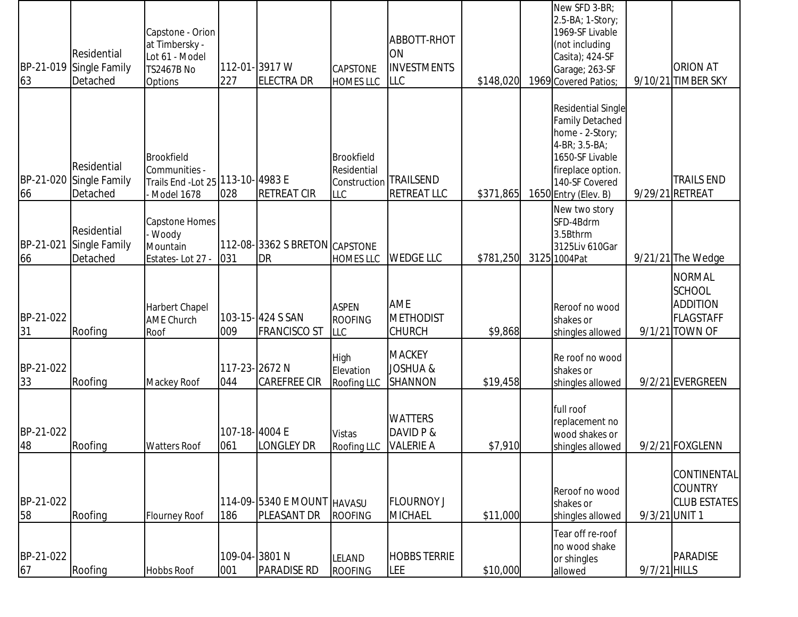| 63              | Residential<br>BP-21-019 Single Family<br>Detached | Capstone - Orion<br>at Timbersky -<br>Lot 61 - Model<br><b>TS2467B No</b><br>Options    | 227                  | 112-01-3917 W<br><b>ELECTRA DR</b>            | <b>CAPSTONE</b><br><b>HOMES LLC</b>                     | ABBOTT-RHOT<br>ON<br><b>INVESTMENTS</b><br>LLC         | \$148,020 | New SFD 3-BR;<br>2.5-BA; 1-Story;<br>1969-SF Livable<br>(not including<br>Casita); 424-SF<br>Garage; 263-SF<br>1969 Covered Patios;                                       |               | <b>ORION AT</b><br>9/10/21 TIMBER SKY                                     |
|-----------------|----------------------------------------------------|-----------------------------------------------------------------------------------------|----------------------|-----------------------------------------------|---------------------------------------------------------|--------------------------------------------------------|-----------|---------------------------------------------------------------------------------------------------------------------------------------------------------------------------|---------------|---------------------------------------------------------------------------|
| 66              | Residential<br>BP-21-020 Single Family<br>Detached | <b>Brookfield</b><br>Communities -<br>Trails End -Lot 25 113-10- 4983 E<br>- Model 1678 | 028                  | <b>RETREAT CIR</b>                            | <b>Brookfield</b><br>Residential<br>Construction<br>LLC | TRAILSEND<br><b>RETREAT LLC</b>                        | \$371,865 | <b>Residential Single</b><br><b>Family Detached</b><br>home - 2-Story;<br>4-BR; 3.5-BA;<br>1650-SF Livable<br>fireplace option.<br>140-SF Covered<br>1650 Entry (Elev. B) |               | <b>TRAILS END</b><br>9/29/21 RETREAT                                      |
| BP-21-021<br>66 | Residential<br>Single Family<br>Detached           | Capstone Homes<br>- Woody<br>Mountain<br>Estates-Lot 27 -                               | 031                  | 112-08- 3362 S BRETON CAPSTONE<br><b>I</b> DR | <b>HOMES LLC</b>                                        | <b>WEDGE LLC</b>                                       | \$781,250 | New two story<br>SFD-4Bdrm<br>3.5Bthrm<br>3125Liv 610Gar<br>3125 1004 Pat                                                                                                 |               | 9/21/21 The Wedge                                                         |
| BP-21-022<br>31 | Roofing                                            | Harbert Chapel<br><b>AME Church</b><br>Roof                                             | 009                  | 103-15- 424 S SAN<br><b>FRANCISCO ST</b>      | <b>ASPEN</b><br>ROOFING<br>LLC                          | AME<br><b>METHODIST</b><br><b>CHURCH</b>               | \$9,868   | Reroof no wood<br>shakes or<br>shingles allowed                                                                                                                           |               | NORMAL<br><b>SCHOOL</b><br><b>ADDITION</b><br>FLAGSTAFF<br>9/1/21 TOWN OF |
| BP-21-022<br>33 | Roofing                                            | Mackey Roof                                                                             | 117-23-2672 N<br>044 | <b>CAREFREE CIR</b>                           | High<br>Elevation<br>Roofing LLC                        | <b>MACKEY</b><br><b>JOSHUA &amp;</b><br><b>SHANNON</b> | \$19,458  | Re roof no wood<br>shakes or<br>shingles allowed                                                                                                                          |               | 9/2/21 EVERGREEN                                                          |
| BP-21-022<br>48 | Roofing                                            | <b>Watters Roof</b>                                                                     | 107-18-4004 E<br>061 | LONGLEY DR                                    | Vistas<br>Roofing LLC                                   | <b>WATTERS</b><br>DAVID P &<br><b>VALERIE A</b>        | \$7,910   | full roof<br>replacement no<br>wood shakes or<br>shingles allowed                                                                                                         |               | 9/2/21 FOXGLENN                                                           |
| BP-21-022<br>58 | Roofing                                            | Flourney Roof                                                                           | 186                  | 114-09- 5340 E MOUNT HAVASU<br>PLEASANT DR    | ROOFING                                                 | <b>FLOURNOY J</b><br>MICHAEL                           | \$11,000  | Reroof no wood<br>shakes or<br>shingles allowed                                                                                                                           | 9/3/21 UNIT 1 | CONTINENTAL<br><b>COUNTRY</b><br><b>CLUB ESTATES</b>                      |
| BP-21-022<br>67 | Roofing                                            | Hobbs Roof                                                                              | 109-04-3801 N<br>001 | <b>PARADISE RD</b>                            | LELAND<br>ROOFING                                       | <b>HOBBS TERRIE</b><br><b>LEE</b>                      | \$10,000  | Tear off re-roof<br>no wood shake<br>or shingles<br>allowed                                                                                                               | 9/7/21 HILLS  | PARADISE                                                                  |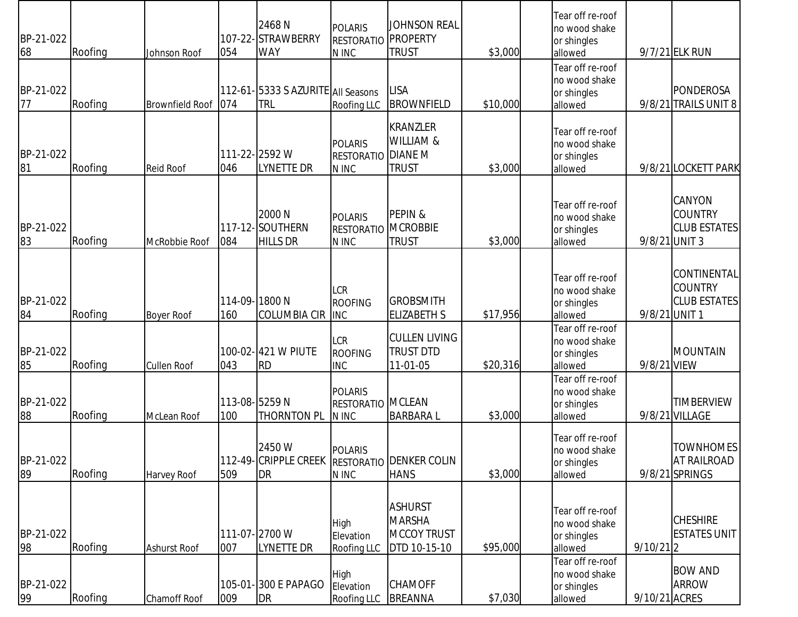| BP-21-022<br>68 | Roofing | Johnson Roof           | 054                  | 2468N<br>107-22-STRAWBERRY<br><b>WAY</b>                           | POLARIS<br><b>RESTORATIO</b><br>N INC        | <b>JOHNSON REAL</b><br>PROPERTY<br><b>TRUST</b>                           | \$3,000  | Tear off re-roof<br>no wood shake<br>or shingles<br>allowed |               | 9/7/21 ELK RUN                                                            |
|-----------------|---------|------------------------|----------------------|--------------------------------------------------------------------|----------------------------------------------|---------------------------------------------------------------------------|----------|-------------------------------------------------------------|---------------|---------------------------------------------------------------------------|
| BP-21-022<br>77 | Roofing | <b>Brownfield Roof</b> | 074                  | 112-61-15333 S AZURITE All Seasons<br><b>TRL</b>                   | Roofing LLC                                  | <b>LISA</b><br><b>BROWNFIELD</b>                                          | \$10,000 | Tear off re-roof<br>no wood shake<br>or shingles<br>allowed |               | PONDEROSA<br>9/8/21 TRAILS UNIT 8                                         |
| BP-21-022<br>81 | Roofing | <b>Reid Roof</b>       | 046                  | 111-22-2592W<br>LYNETTE DR                                         | POLARIS<br><b>RESTORATIO</b><br>N INC        | <b>KRANZLER</b><br><b>WILLIAM &amp;</b><br><b>DIANE M</b><br><b>TRUST</b> | \$3,000  | Tear off re-roof<br>no wood shake<br>or shingles<br>allowed |               | 9/8/21 LOCKETT PARK                                                       |
| BP-21-022<br>83 | Roofing | McRobbie Roof          | 084                  | 2000 N<br>117-12-SOUTHERN<br><b>HILLS DR</b>                       | POLARIS<br><b>RESTORATIO</b><br>N INC        | PEPIN&<br><b>MCROBBIE</b><br>Trust                                        | \$3,000  | Tear off re-roof<br>no wood shake<br>or shingles<br>allowed |               | <b>CANYON</b><br><b>COUNTRY</b><br><b>CLUB ESTATES</b><br>$9/8/21$ UNIT 3 |
| BP-21-022<br>84 | Roofing | <b>Boyer Roof</b>      | 114-09-1800 N<br>160 | <b>COLUMBIA CIR</b>                                                | <b>LCR</b><br>ROOFING<br><b>INC</b>          | <b>GROBSMITH</b><br><b>ELIZABETH S</b>                                    | \$17,956 | Tear off re-roof<br>no wood shake<br>or shingles<br>allowed | 9/8/21 UNIT 1 | CONTINENTAL<br><b>COUNTRY</b><br><b>CLUB ESTATES</b>                      |
| BP-21-022<br>85 | Roofing | Cullen Roof            | 043                  | 100-02-421 W PIUTE<br><b>RD</b>                                    | <b>LCR</b><br>ROOFING<br>INC                 | <b>CULLEN LIVING</b><br><b>TRUST DTD</b><br>11-01-05                      | \$20,316 | Tear off re-roof<br>no wood shake<br>or shingles<br>allowed | 9/8/21 VIEW   | MOUNTAIN                                                                  |
| BP-21-022<br>88 | Roofing | McLean Roof            | 113-08-5259 N<br>100 | <b>THORNTON PL</b>                                                 | POLARIS<br><b>RESTORATIO MCLEAN</b><br>N INC | <b>BARBARAL</b>                                                           | \$3,000  | Tear off re-roof<br>no wood shake<br>or shingles<br>allowed |               | <b>TIMBERVIEW</b><br>9/8/21 VILLAGE                                       |
| BP-21-022<br>89 | Roofing | Harvey Roof            | 509                  | 2450W<br>112-49-CRIPPLE CREEK RESTORATIO DENKER COLIN<br><b>DR</b> | POLARIS<br>N INC                             | <b>HANS</b>                                                               | \$3,000  | Tear off re-roof<br>no wood shake<br>or shingles<br>allowed |               | <b>TOWNHOMES</b><br><b>AT RAILROAD</b><br>9/8/21 SPRINGS                  |
| BP-21-022<br>98 | Roofing | Ashurst Roof           | 007                  | 111-07-2700 W<br>LYNETTE DR                                        | High<br>Elevation<br>Roofing LLC             | <b>ASHURST</b><br><b>MARSHA</b><br><b>MCCOY TRUST</b><br>DTD 10-15-10     | \$95,000 | Tear off re-roof<br>no wood shake<br>or shingles<br>allowed | $9/10/21$  2  | <b>CHESHIRE</b><br><b>ESTATES UNIT</b>                                    |
| BP-21-022<br>99 | Roofing | Chamoff Roof           | 009                  | 105-01-300 E PAPAGO<br>DR <sub></sub>                              | High<br>Elevation<br>Roofing LLC             | <b>CHAMOFF</b><br><b>BREANNA</b>                                          | \$7,030  | Tear off re-roof<br>no wood shake<br>or shingles<br>allowed | 9/10/21 ACRES | <b>BOW AND</b><br>ARROW                                                   |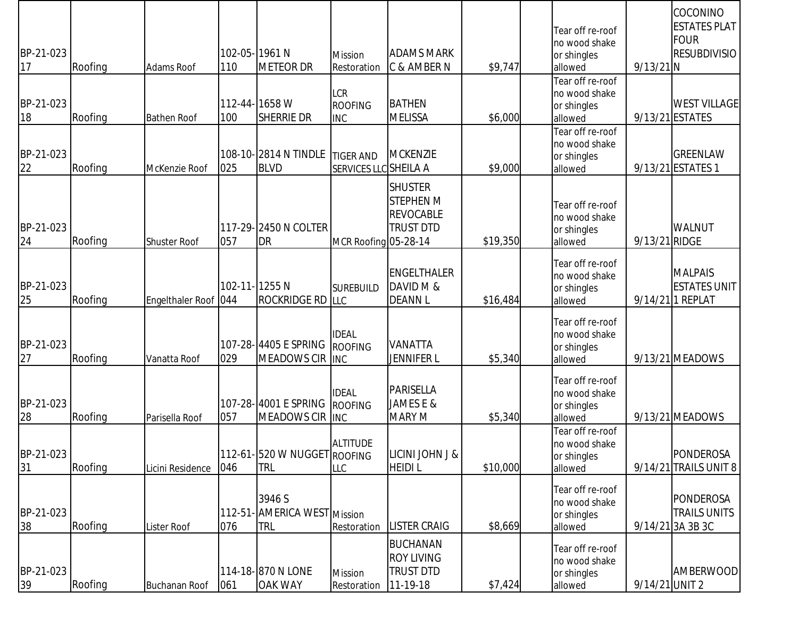| BP-21-023<br>17 | Roofing | Adams Roof           | 102-05-1961 N<br>110  | METEOR DR                                      | Mission<br>Restoration                     | <b>ADAMS MARK</b><br>C & AMBER N                                           | \$9,747  | Tear off re-roof<br>no wood shake<br>or shingles<br>allowed<br>Tear off re-roof | $9/13/21$ N    | COCONINO<br><b>ESTATES PLAT</b><br> Four<br><b>RESUBDIVISIO</b> |
|-----------------|---------|----------------------|-----------------------|------------------------------------------------|--------------------------------------------|----------------------------------------------------------------------------|----------|---------------------------------------------------------------------------------|----------------|-----------------------------------------------------------------|
| BP-21-023<br>18 | Roofing | <b>Bathen Roof</b>   | 100                   | 112-44-1658 W<br>SHERRIE DR                    | <b>LCR</b><br><b>ROOFING</b><br><b>INC</b> | <b>BATHEN</b><br><b>MELISSA</b>                                            | \$6,000  | no wood shake<br>or shingles<br>allowed                                         |                | <b>WEST VILLAGE</b><br>9/13/21 ESTATES                          |
| BP-21-023<br>22 | Roofing | McKenzie Roof        | 025                   | 108-10-2814 N TINDLE<br>BLVD                   | <b>TIGER AND</b><br>SERVICES LLC SHEILA A  | <b>MCKENZIE</b>                                                            | \$9,000  | Tear off re-roof<br>no wood shake<br>or shingles<br>allowed                     |                | GREENLAW<br>9/13/21 ESTATES 1                                   |
| BP-21-023<br>24 | Roofing | Shuster Roof         | 057                   | 117-29-2450 N COLTER<br><b>I</b> DR            | MCR Roofing 05-28-14                       | <b>SHUSTER</b><br><b>STEPHEN M</b><br><b>REVOCABLE</b><br><b>TRUST DTD</b> | \$19,350 | Tear off re-roof<br>no wood shake<br>or shingles<br>allowed                     | 9/13/21 RIDGE  | <b>WALNUT</b>                                                   |
| BP-21-023<br>25 | Roofing | Engelthaler Roof     | 102-11-1255 N<br> 044 | ROCKRIDGE RD LLC                               | <b>SUREBUILD</b>                           | <b>ENGELTHALER</b><br>DAVID M &<br><b>DEANNL</b>                           | \$16,484 | Tear off re-roof<br>no wood shake<br>or shingles<br>allowed                     |                | <b>MALPAIS</b><br><b>ESTATES UNIT</b><br>9/14/211 REPLAT        |
| BP-21-023<br>27 | Roofing | Vanatta Roof         | 029                   | 107-28- 4405 E SPRING<br><b>MEADOWS CIR</b>    | <b>IDEAL</b><br>ROOFING<br><b>INC</b>      | VANATTA<br><b>JENNIFER L</b>                                               | \$5,340  | Tear off re-roof<br>no wood shake<br>or shingles<br>allowed                     |                | 9/13/21 MEADOWS                                                 |
| BP-21-023<br>28 | Roofing | Parisella Roof       | 057                   | 107-28-4001 E SPRING<br>MEADOWS CIR            | <b>IDEAL</b><br>ROOFING<br><b>INC</b>      | PARISELLA<br>JAMES E &<br><b>MARY M</b>                                    | \$5,340  | Tear off re-roof<br>no wood shake<br>or shingles<br>allowed                     |                | 9/13/21 MEADOWS                                                 |
| BP-21-023<br>31 | Roofing | Licini Residence     | 046                   | 112-61-520 W NUGGET ROOFING<br><b>TRL</b>      | <b>ALTITUDE</b><br><b>LLC</b>              | LICINI JOHN J &<br><b>HEIDIL</b>                                           | \$10,000 | Tear off re-roof<br>no wood shake<br>or shingles<br>allowed                     |                | PONDEROSA<br>9/14/21 TRAILS UNIT 8                              |
| BP-21-023<br>38 | Roofing | Lister Roof          | 076                   | 3946 S<br>112-51- AMERICA WEST Mission<br> Trl | Restoration                                | LISTER CRAIG                                                               | \$8,669  | Tear off re-roof<br>no wood shake<br>or shingles<br>allowed                     |                | PONDEROSA<br><b>TRAILS UNITS</b><br>9/14/21 3A 3B 3C            |
| BP-21-023<br>39 | Roofing | <b>Buchanan Roof</b> | 061                   | 114-18-870 N LONE<br><b>OAK WAY</b>            | Mission<br>Restoration                     | <b>BUCHANAN</b><br><b>ROY LIVING</b><br><b>TRUST DTD</b><br>11-19-18       | \$7,424  | Tear off re-roof<br>no wood shake<br>or shingles<br>allowed                     | 9/14/21 UNIT 2 | AMBERWOOD                                                       |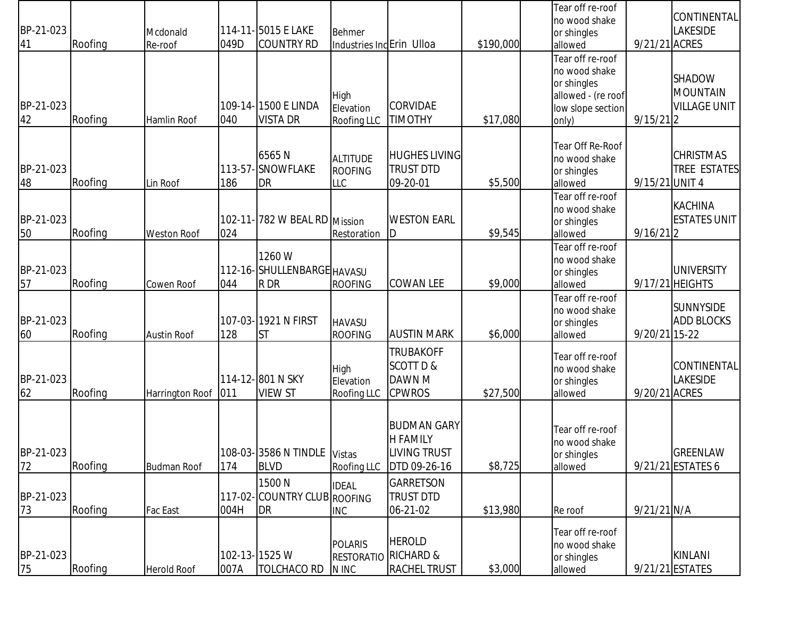| BP-21-023<br>41 | Roofing | Mcdonald<br>Re-roof | 049D          | 114-11- 5015 E LAKE<br>COUNTRY RD                 | Behmer<br>Industries IncErin Ulloa      |                                                                              | \$190,000 | Tear off re-roof<br>no wood shake<br>or shingles<br>allowed                                          | 9/21/21 ACRES  | CONTINENTAL<br><b>LAKESIDE</b>                   |
|-----------------|---------|---------------------|---------------|---------------------------------------------------|-----------------------------------------|------------------------------------------------------------------------------|-----------|------------------------------------------------------------------------------------------------------|----------------|--------------------------------------------------|
| BP-21-023<br>42 | Roofing | Hamlin Roof         | 040           | 109-14-1500 E LINDA<br><b>VISTA DR</b>            | <b>High</b><br>Elevation<br>Roofing LLC | CORVIDAE<br><b>TIMOTHY</b>                                                   | \$17,080  | Tear off re-roof<br>no wood shake<br>or shingles<br>allowed - (re roof<br>low slope section<br>only) | $9/15/21$  2   | <b>SHADOW</b><br>MOUNTAIN<br><b>VILLAGE UNIT</b> |
| BP-21-023<br>48 | Roofing | Lin Roof            | 113-57<br>186 | 6565N<br>SNOWFLAKE<br>DR                          | ALTITUDE<br>ROOFING<br>LLC              | <b>HUGHES LIVING</b><br><b>TRUST DTD</b><br>09-20-01                         | \$5,500   | Tear Off Re-Roof<br>no wood shake<br>or shingles<br>allowed                                          | 9/15/21 UNIT 4 | <b>CHRISTMAS</b><br><b>TREE ESTATES</b>          |
| BP-21-023<br>50 | Roofing | <b>Weston Roof</b>  | 024           | 102-11-1782 W BEAL RD Mission                     | Restoration                             | <b>WESTON EARL</b><br>D                                                      | \$9,545   | Tear off re-roof<br>no wood shake<br>or shingles<br>allowed                                          | $9/16/21$  2   | KACHINA<br><b>ESTATES UNIT</b>                   |
| BP-21-023<br>57 | Roofing | Cowen Roof          | 044           | 1260 W<br>112-16-SHULLENBARGE HAVASU<br>R DR      | ROOFING                                 | <b>COWAN LEE</b>                                                             | \$9,000   | Tear off re-roof<br>no wood shake<br>or shingles<br>allowed                                          |                | UNIVERSITY<br>9/17/21 HEIGHTS                    |
| BP-21-023<br>60 | Roofing | Austin Roof         | 128           | 107-03-1921 N FIRST<br>lst                        | <b>HAVASU</b><br><b>ROOFING</b>         | <b>AUSTIN MARK</b>                                                           | \$6,000   | Tear off re-roof<br>no wood shake<br>or shingles<br>allowed                                          | 9/20/21 15-22  | <b>SUNNYSIDE</b><br><b>ADD BLOCKS</b>            |
| BP-21-023<br>62 | Roofing | Harrington Roof     | 011           | 114-12-801 N SKY<br>VIEW ST                       | <b>High</b><br>Elevation<br>Roofing LLC | <b>TRUBAKOFF</b><br><b>SCOTT D &amp;</b><br>DAWN M<br><b>CPWROS</b>          | \$27,500  | Tear off re-roof<br>no wood shake<br>or shingles<br>allowed                                          | 9/20/21 ACRES  | CONTINENTAL<br><b>LAKESIDE</b>                   |
| BP-21-023<br>72 | Roofing | <b>Budman Roof</b>  | 174           | 108-03- 3586 N TINDLE Vistas<br><b>BLVD</b>       | Roofing LLC                             | <b>BUDMAN GARY</b><br><b>H FAMILY</b><br><b>LIVING TRUST</b><br>DTD 09-26-16 | \$8,725   | Tear off re-roof<br>no wood shake<br>or shingles<br>allowed                                          |                | GREENLAW<br>9/21/21 ESTATES 6                    |
| BP-21-023<br>73 | Roofing | Fac East            | 004H          | 1500N<br>117-02-COUNTRY CLUB ROOFING<br><b>DR</b> | <b>IDEAL</b><br><b>INC</b>              | <b>GARRETSON</b><br>TRUST DTD<br>06-21-02                                    | \$13,980  | Re roof                                                                                              | 9/21/21 N/A    |                                                  |
| BP-21-023<br>75 | Roofing | Herold Roof         | 007A          | 102-13-1525 W<br><b>TOLCHACO RD</b>               | <b>POLARIS</b><br>N INC                 | <b>HEROLD</b><br><b>RESTORATIO RICHARD &amp;</b><br>RACHEL TRUST             | \$3,000   | Tear off re-roof<br>no wood shake<br>or shingles<br>allowed                                          |                | KINLANI<br>9/21/21 ESTATES                       |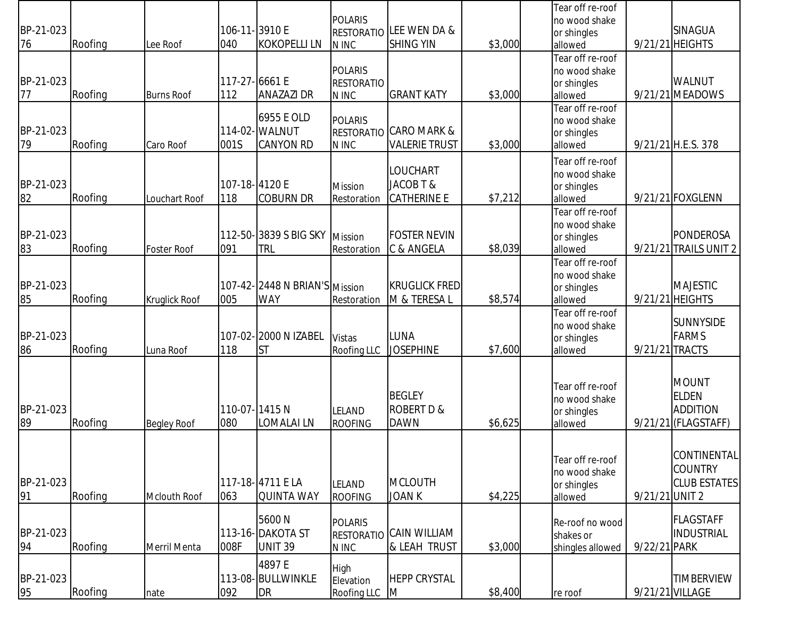|                 |         |                    |                       |                                                  |                                       |                                                           |         | Tear off re-roof                                            |                |                                                          |
|-----------------|---------|--------------------|-----------------------|--------------------------------------------------|---------------------------------------|-----------------------------------------------------------|---------|-------------------------------------------------------------|----------------|----------------------------------------------------------|
| BP-21-023       |         |                    | 106-11-3910 E         |                                                  | POLARIS                               | RESTORATIO LEE WEN DA &                                   |         | no wood shake<br>or shingles                                |                | SINAGUA                                                  |
| 76              | Roofing | Lee Roof           | 040                   | KOKOPELLI LN                                     | N INC                                 | <b>SHING YIN</b>                                          | \$3,000 | allowed                                                     |                | 9/21/21 HEIGHTS                                          |
| BP-21-023<br>77 | Roofing | <b>Burns Roof</b>  | 117-27-6661 E<br>112  | <b>ANAZAZI DR</b>                                | POLARIS<br><b>RESTORATIO</b><br>N INC | <b>GRANT KATY</b>                                         | \$3,000 | Tear off re-roof<br>no wood shake<br>or shingles<br>allowed |                | <b>WALNUT</b><br>9/21/21 MEADOWS                         |
| BP-21-023<br>79 | Roofing | Caro Roof          | 001S                  | 6955 E OLD<br>114-02- WALNUT<br><b>CANYON RD</b> | <b>POLARIS</b><br>N INC               | <b>RESTORATIO CARO MARK &amp;</b><br><b>VALERIE TRUST</b> | \$3,000 | Tear off re-roof<br>no wood shake<br>or shingles<br>allowed |                | 9/21/21 H.E.S. 378                                       |
| BP-21-023<br>82 | Roofing | Louchart Roof      | 107-18-4120 E<br>118  | <b>COBURN DR</b>                                 | Mission<br>Restoration                | LOUCHART<br>JACOB T&<br><b>CATHERINE E</b>                | \$7,212 | Tear off re-roof<br>no wood shake<br>or shingles<br>allowed |                | 9/21/21 FOXGLENN                                         |
| BP-21-023<br>83 | Roofing | Foster Roof        | 091                   | 112-50- 3839 S BIG SKY<br><b>TRL</b>             | Mission<br>Restoration                | <b>FOSTER NEVIN</b><br>C & ANGELA                         | \$8,039 | Tear off re-roof<br>no wood shake<br>or shingles<br>allowed | 9/21/21        | PONDEROSA<br>TRAILS UNIT 2                               |
| BP-21-023<br>85 | Roofing | Kruglick Roof      | 005                   | 107-42- 2448 N BRIAN'S Mission<br><b>WAY</b>     | Restoration                           | <b>KRUGLICK FRED</b><br>M & TERESA L                      | \$8,574 | Tear off re-roof<br>no wood shake<br>or shingles<br>allowed |                | MAJESTIC<br>9/21/21 HEIGHTS                              |
| BP-21-023<br>86 | Roofing | Luna Roof          | 118                   | 107-02-2000 N IZABEL<br><b>ST</b>                | Vistas<br>Roofing LLC                 | LUNA<br><b>JOSEPHINE</b>                                  | \$7,600 | Tear off re-roof<br>no wood shake<br>or shingles<br>allowed | 9/21/21        | <b>SUNNYSIDE</b><br>FARMS<br><b>TRACTS</b>               |
| BP-21-023<br>89 | Roofing | <b>Begley Roof</b> | 110-07-11415 N<br>080 | LOMALAI LN                                       | LELAND<br>ROOFING                     | <b>BEGLEY</b><br><b>ROBERT D &amp;</b><br><b>DAWN</b>     | \$6,625 | Tear off re-roof<br>no wood shake<br>or shingles<br>allowed |                | <b>MOUNT</b><br>ELDEN<br>ADDITION<br>9/21/21 (FLAGSTAFF) |
| BP-21-023<br>91 | Roofing | Mclouth Roof       | 063                   | 117-18-4711 ELA<br><b>QUINTA WAY</b>             | LELAND<br>ROOFING                     | <b>MCLOUTH</b><br>JOAN K                                  | \$4,225 | Tear off re-roof<br>no wood shake<br>or shingles<br>allowed | 9/21/21 UNIT 2 | CONTINENTAL<br><b>COUNTRY</b><br><b>CLUB ESTATES</b>     |
| BP-21-023<br>94 | Roofing | Merril Menta       | 008F                  | 5600N<br>113-16- DAKOTA ST<br>UNIT <sub>39</sub> | POLARIS<br>N INC                      | RESTORATIO CAIN WILLIAM<br>& LEAH TRUST                   | \$3,000 | Re-roof no wood<br>shakes or<br>shingles allowed            | 9/22/21 PARK   | FLAGSTAFF<br>INDUSTRIAL                                  |
| BP-21-023<br>95 | Roofing | nate               | 092                   | 4897 E<br>113-08-BULLWINKLE<br>DR                | High<br>Elevation<br>Roofing LLC      | <b>HEPP CRYSTAL</b><br>M                                  | \$8,400 | re roof                                                     |                | <b>TIMBERVIEW</b><br>9/21/21 VILLAGE                     |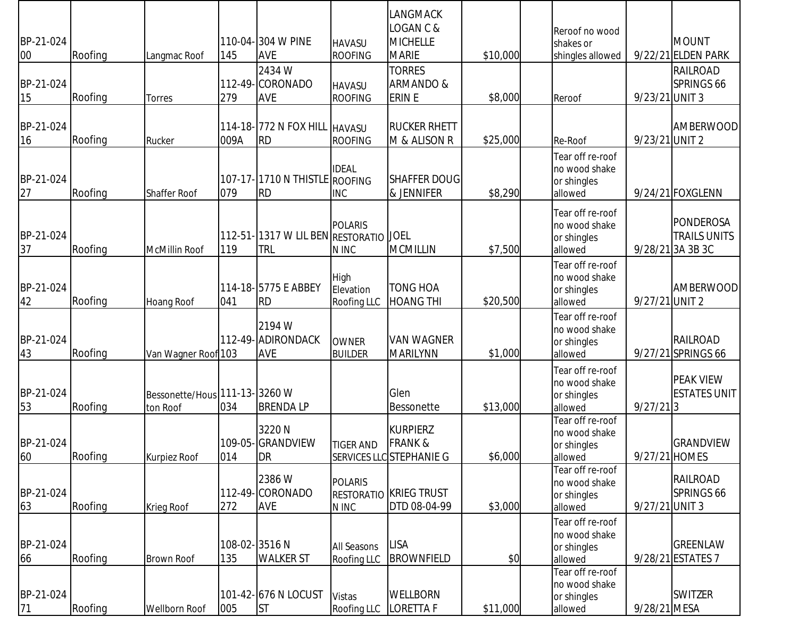| BP-21-024<br>00 | Roofing | Langmac Roof                              | 145                  | 110-04-1304 W PINE<br><b>AVE</b>               | <b>HAVASU</b><br>ROOFING          | LANGMACK<br>LOGAN C &<br><b>MICHELLE</b><br><b>MARIE</b>          | \$10,000 | Reroof no wood<br>shakes or<br>shingles allowed             |                | MOUNT<br>9/22/21 ELDEN PARK                         |
|-----------------|---------|-------------------------------------------|----------------------|------------------------------------------------|-----------------------------------|-------------------------------------------------------------------|----------|-------------------------------------------------------------|----------------|-----------------------------------------------------|
| BP-21-024<br>15 | Roofing | Torres                                    | 279                  | 2434W<br>112-49-CORONADO<br><b>AVE</b>         | <b>HAVASU</b><br>ROOFING          | <b>TORRES</b><br><b>ARMANDO &amp;</b><br><b>ERIN E</b>            | \$8,000  | Reroof                                                      | 9/23/21 UNIT 3 | RAILROAD<br>SPRINGS 66                              |
| BP-21-024<br>16 | Roofing | Rucker                                    | 009A                 | 114-18-1772 N FOX HILL   HAVASU<br><b>RD</b>   | ROOFING                           | <b>RUCKER RHETT</b><br>M & ALISON R                               | \$25,000 | Re-Roof                                                     | 9/23/21 UNIT 2 | AMBERWOOD                                           |
| BP-21-024<br>27 | Roofing | Shaffer Roof                              | 079                  | 107-17-1710 N THISTLE ROOFING<br><b>I</b> RD   | <b>IDEAL</b><br><b>INC</b>        | <b>SHAFFER DOUG</b><br>& JENNIFER                                 | \$8,290  | Tear off re-roof<br>no wood shake<br>or shingles<br>allowed |                | 9/24/21 FOXGLENN                                    |
| BP-21-024<br>37 | Roofing | McMillin Roof                             | 119                  | 112-51-1317 W LIL BEN RESTORATIO<br><b>TRL</b> | POLARIS<br>N INC                  | <b>JOEL</b><br><b>MCMILLIN</b>                                    | \$7,500  | Tear off re-roof<br>no wood shake<br>or shingles<br>allowed |                | PONDEROSA<br><b>TRAILS UNITS</b><br>9/28/213A 3B 3C |
| BP-21-024<br>42 | Roofing | Hoang Roof                                | 041                  | 114-18- 5775 E ABBEY<br><b>I</b> RD            | High<br>Elevation<br>Roofing LLC  | TONG HOA<br><b>HOANG THI</b>                                      | \$20,500 | Tear off re-roof<br>no wood shake<br>or shingles<br>allowed | 9/27/21 UNIT 2 | AMBERWOOD                                           |
| BP-21-024<br>43 | Roofing | Van Wagner Roof <sup>103</sup>            |                      | 2194 W<br>112-49- ADIRONDACK<br><b>AVE</b>     | <b>OWNER</b><br>BUILDER           | <b>VAN WAGNER</b><br><b>MARILYNN</b>                              | \$1,000  | Tear off re-roof<br>no wood shake<br>or shingles<br>allowed |                | RAILROAD<br>9/27/21SPRINGS 66                       |
| BP-21-024<br>53 | Roofing | Bessonette/Hous 111-13-3260 W<br>ton Roof | 034                  | <b>BRENDALP</b>                                |                                   | Glen<br>Bessonette                                                | \$13,000 | Tear off re-roof<br>no wood shake<br>or shingles<br>allowed | $9/27/21$ 3    | <b>PEAK VIEW</b><br><b>ESTATES UNIT</b>             |
| BP-21-024<br>60 | Roofing | Kurpiez Roof                              | 014                  | 3220N<br>109-05-GRANDVIEW<br>DR                | <b>TIGER AND</b>                  | <b>KURPIERZ</b><br><b>FRANK &amp;</b><br>SERVICES LLC STEPHANIE G | \$6,000  | Tear off re-roof<br>no wood shake<br>or shingles<br>allowed | 9/27/21 HOMES  | GRANDVIEW                                           |
| BP-21-024<br>63 | Roofing | Krieg Roof                                | 272                  | 2386W<br>112-49-CORONADO<br><b>AVE</b>         | POLARIS<br>N INC                  | <b>RESTORATIO KRIEG TRUST</b><br>DTD 08-04-99                     | \$3,000  | Tear off re-roof<br>no wood shake<br>or shingles<br>allowed | 9/27/21 UNIT 3 | RAILROAD<br>SPRINGS 66                              |
| BP-21-024<br>66 | Roofing | <b>Brown Roof</b>                         | 108-02-3516 N<br>135 | <b>WALKER ST</b>                               | <b>All Seasons</b><br>Roofing LLC | <b>LISA</b><br><b>BROWNFIELD</b>                                  | \$0      | Tear off re-roof<br>no wood shake<br>or shingles<br>allowed |                | GREENLAW<br>9/28/21 ESTATES 7                       |
| BP-21-024<br>71 | Roofing | Wellborn Roof                             | 005                  | 101-42-676 N LOCUST<br><b>ST</b>               | Vistas<br>Roofing LLC             | <b>WELLBORN</b><br><b>LORETTA F</b>                               | \$11,000 | Tear off re-roof<br>no wood shake<br>or shingles<br>allowed | 9/28/21 MESA   | <b>SWITZER</b>                                      |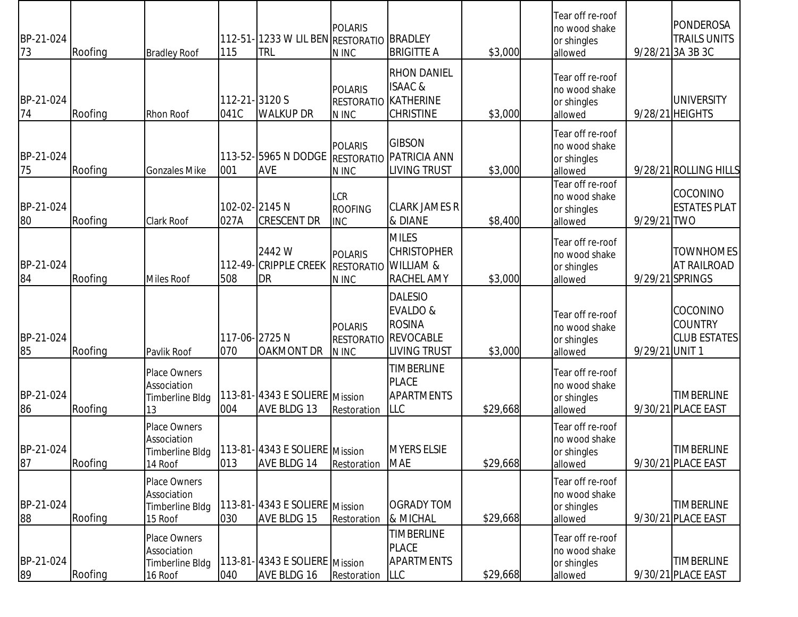| BP-21-024<br>73 | Roofing | <b>Bradley Roof</b>                                              | 115                   | 112-51-1233 W LIL BEN RESTORATIO BRADLEY<br><b>TRL</b> | POLARIS<br>N INC                             | <b>BRIGITTE A</b>                                                                                 | \$3,000  | Tear off re-roof<br>no wood shake<br>or shingles<br>allowed |                | PONDEROSA<br><b>TRAILS UNITS</b><br>9/28/213A 3B 3C |
|-----------------|---------|------------------------------------------------------------------|-----------------------|--------------------------------------------------------|----------------------------------------------|---------------------------------------------------------------------------------------------------|----------|-------------------------------------------------------------|----------------|-----------------------------------------------------|
| BP-21-024<br>74 | Roofing | <b>Rhon Roof</b>                                                 | 112-21-3120 S<br>041C | <b>WALKUP DR</b>                                       | <b>POLARIS</b><br>N INC                      | <b>RHON DANIEL</b><br><b>ISAAC&amp;</b><br>RESTORATIO KATHERINE<br><b>CHRISTINE</b>               | \$3,000  | Tear off re-roof<br>no wood shake<br>or shingles<br>allowed |                | <b>UNIVERSITY</b><br>9/28/21 HEIGHTS                |
| BP-21-024<br>75 | Roofing | Gonzales Mike                                                    | 001                   | 113-52- 5965 N DODGE<br><b>AVE</b>                     | <b>POLARIS</b><br>RESTORATIO<br>N INC        | <b>GIBSON</b><br>PATRICIA ANN<br><b>LIVING TRUST</b>                                              | \$3,000  | Tear off re-roof<br>no wood shake<br>or shingles<br>allowed |                | 9/28/21 ROLLING HILLS                               |
| BP-21-024<br>80 | Roofing | Clark Roof                                                       | 027A                  | 102-02-2145N<br><b>CRESCENT DR</b>                     | <b>LCR</b><br>ROOFING<br><b>INC</b>          | <b>CLARK JAMES R</b><br>& DIANE                                                                   | \$8,400  | Tear off re-roof<br>no wood shake<br>or shingles<br>allowed | 9/29/21 TWO    | <b>COCONINO</b><br><b>ESTATES PLAT</b>              |
| BP-21-024<br>84 | Roofing | Miles Roof                                                       | 112-49-<br>508        | 2442W<br><b>CRIPPLE CREEK</b><br>DR                    | POLARIS<br><b>RESTORATIO</b><br>N INC        | <b>MILES</b><br><b>CHRISTOPHER</b><br><b>WILLIAM &amp;</b><br><b>RACHEL AMY</b>                   | \$3,000  | Tear off re-roof<br>no wood shake<br>or shingles<br>allowed |                | TOWNHOMES<br><b>AT RAILROAD</b><br>9/29/21 SPRINGS  |
| BP-21-024<br>85 | Roofing | Pavlik Roof                                                      | 070                   | 117-06-2725 N<br><b>OAKMONT DR</b>                     | <b>POLARIS</b><br><b>RESTORATIO</b><br>N INC | <b>DALESIO</b><br><b>EVALDO &amp;</b><br><b>ROSINA</b><br><b>REVOCABLE</b><br><b>LIVING TRUST</b> | \$3,000  | Tear off re-roof<br>no wood shake<br>or shingles<br>allowed | 9/29/21 UNIT 1 | COCONINO<br><b>COUNTRY</b><br>CLUB ESTATES          |
| BP-21-024<br>86 | Roofing | Place Owners<br>Association<br><b>Timberline Bldg</b><br>13      | 004                   | 113-81- 4343 E SOLIERE Mission<br><b>AVE BLDG 13</b>   | Restoration                                  | <b>TIMBERLINE</b><br><b>PLACE</b><br><b>APARTMENTS</b><br><b>LLC</b>                              | \$29,668 | Tear off re-roof<br>no wood shake<br>or shingles<br>allowed |                | <b>TIMBERLINE</b><br>9/30/21 PLACE EAST             |
| BP-21-024<br>87 | Roofing | Place Owners<br>Association<br>Timberline Bldg<br>14 Roof        | 013                   | 113-81-4343 E SOLIERE Mission<br><b>AVE BLDG 14</b>    | Restoration                                  | <b>MYERS ELSIE</b><br><b>MAE</b>                                                                  | \$29,668 | Tear off re-roof<br>no wood shake<br>or shingles<br>allowed |                | <b>TIMBERLINE</b><br>9/30/21 PLACE EAST             |
| BP-21-024<br>88 | Roofing | Place Owners<br>Association<br><b>Timberline Bldg</b><br>15 Roof | 030                   | 113-81-4343 E SOLIERE Mission<br><b>AVE BLDG 15</b>    | Restoration                                  | <b>OGRADY TOM</b><br>& MICHAL                                                                     | \$29,668 | Tear off re-roof<br>no wood shake<br>or shingles<br>allowed |                | <b>TIMBERLINE</b><br>9/30/21 PLACE EAST             |
| BP-21-024<br>89 | Roofing | Place Owners<br>Association<br>Timberline Bldg<br>16 Roof        | 040                   | 113-81- 4343 E SOLIERE Mission<br>AVE BLDG 16          | Restoration                                  | <b>TIMBERLINE</b><br><b>PLACE</b><br>APARTMENTS<br><b>LLC</b>                                     | \$29,668 | Tear off re-roof<br>no wood shake<br>or shingles<br>allowed |                | <b>TIMBERLINE</b><br>9/30/21 PLACE EAST             |